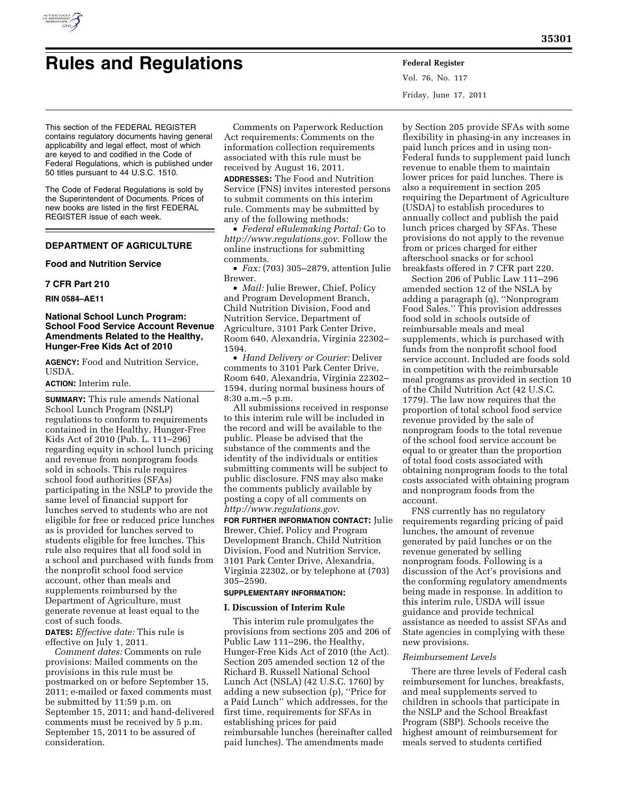

Vol. 76, No. 117 Friday, June 17, 2011

This section of the FEDERAL REGISTER contains regulatory documents having general applicability and legal effect, most of which are keyed to and codified in the Code of Federal Regulations, which is published under 50 titles pursuant to 44 U.S.C. 1510.

The Code of Federal Regulations is sold by the Superintendent of Documents. Prices of new books are listed in the first FEDERAL REGISTER issue of each week.

# **DEPARTMENT OF AGRICULTURE**

#### **Food and Nutrition Service**

# **7 CFR Part 210**

## **RIN 0584–AE11**

# **National School Lunch Program: School Food Service Account Revenue Amendments Related to the Healthy, Hunger-Free Kids Act of 2010**

**AGENCY:** Food and Nutrition Service, **USDA** 

#### **ACTION:** Interim rule.

**SUMMARY:** This rule amends National School Lunch Program (NSLP) regulations to conform to requirements contained in the Healthy, Hunger-Free Kids Act of 2010 (Pub. L. 111–296) regarding equity in school lunch pricing and revenue from nonprogram foods sold in schools. This rule requires school food authorities (SFAs) participating in the NSLP to provide the same level of financial support for lunches served to students who are not eligible for free or reduced price lunches as is provided for lunches served to students eligible for free lunches. This rule also requires that all food sold in a school and purchased with funds from the nonprofit school food service account, other than meals and supplements reimbursed by the Department of Agriculture, must generate revenue at least equal to the cost of such foods.

**DATES:** *Effective date:* This rule is effective on July 1, 2011.

*Comment dates:* Comments on rule provisions: Mailed comments on the provisions in this rule must be postmarked on or before September 15, 2011; e-mailed or faxed comments must be submitted by 11:59 p.m. on September 15, 2011; and hand-delivered comments must be received by 5 p.m. September 15, 2011 to be assured of consideration.

Comments on Paperwork Reduction Act requirements: Comments on the information collection requirements associated with this rule must be received by August 16, 2011.

**ADDRESSES:** The Food and Nutrition Service (FNS) invites interested persons to submit comments on this interim rule. Comments may be submitted by any of the following methods:

• *Federal eRulemaking Portal:* Go to *<http://www.regulations.gov>*. Follow the online instructions for submitting comments.

• *Fax:* (703) 305–2879, attention Julie Brewer.

• *Mail:* Julie Brewer, Chief, Policy and Program Development Branch, Child Nutrition Division, Food and Nutrition Service, Department of Agriculture, 3101 Park Center Drive, Room 640, Alexandria, Virginia 22302– 1594.

• *Hand Delivery or Courier:* Deliver comments to 3101 Park Center Drive, Room 640, Alexandria, Virginia 22302– 1594, during normal business hours of 8:30 a.m.–5 p.m.

All submissions received in response to this interim rule will be included in the record and will be available to the public. Please be advised that the substance of the comments and the identity of the individuals or entities submitting comments will be subject to public disclosure. FNS may also make the comments publicly available by posting a copy of all comments on *<http://www.regulations.gov>*.

**FOR FURTHER INFORMATION CONTACT:** Julie Brewer, Chief, Policy and Program Development Branch, Child Nutrition Division, Food and Nutrition Service, 3101 Park Center Drive, Alexandria, Virginia 22302, or by telephone at (703) 305–2590.

# **SUPPLEMENTARY INFORMATION:**

#### **I. Discussion of Interim Rule**

This interim rule promulgates the provisions from sections 205 and 206 of Public Law 111–296, the Healthy, Hunger-Free Kids Act of 2010 (the Act). Section 205 amended section 12 of the Richard B. Russell National School Lunch Act (NSLA) (42 U.S.C. 1760) by adding a new subsection (p), ''Price for a Paid Lunch'' which addresses, for the first time, requirements for SFAs in establishing prices for paid reimbursable lunches (hereinafter called paid lunches). The amendments made

by Section 205 provide SFAs with some flexibility in phasing-in any increases in paid lunch prices and in using non-Federal funds to supplement paid lunch revenue to enable them to maintain lower prices for paid lunches. There is also a requirement in section 205 requiring the Department of Agriculture (USDA) to establish procedures to annually collect and publish the paid lunch prices charged by SFAs. These provisions do not apply to the revenue from or prices charged for either afterschool snacks or for school breakfasts offered in 7 CFR part 220.

Section 206 of Public Law 111–296 amended section 12 of the NSLA by adding a paragraph (q), ''Nonprogram Food Sales.'' This provision addresses food sold in schools outside of reimbursable meals and meal supplements, which is purchased with funds from the nonprofit school food service account. Included are foods sold in competition with the reimbursable meal programs as provided in section 10 of the Child Nutrition Act (42 U.S.C. 1779). The law now requires that the proportion of total school food service revenue provided by the sale of nonprogram foods to the total revenue of the school food service account be equal to or greater than the proportion of total food costs associated with obtaining nonprogram foods to the total costs associated with obtaining program and nonprogram foods from the account.

FNS currently has no regulatory requirements regarding pricing of paid lunches, the amount of revenue generated by paid lunches or on the revenue generated by selling nonprogram foods. Following is a discussion of the Act's provisions and the conforming regulatory amendments being made in response. In addition to this interim rule, USDA will issue guidance and provide technical assistance as needed to assist SFAs and State agencies in complying with these new provisions.

#### *Reimbursement Levels*

There are three levels of Federal cash reimbursement for lunches, breakfasts, and meal supplements served to children in schools that participate in the NSLP and the School Breakfast Program (SBP). Schools receive the highest amount of reimbursement for meals served to students certified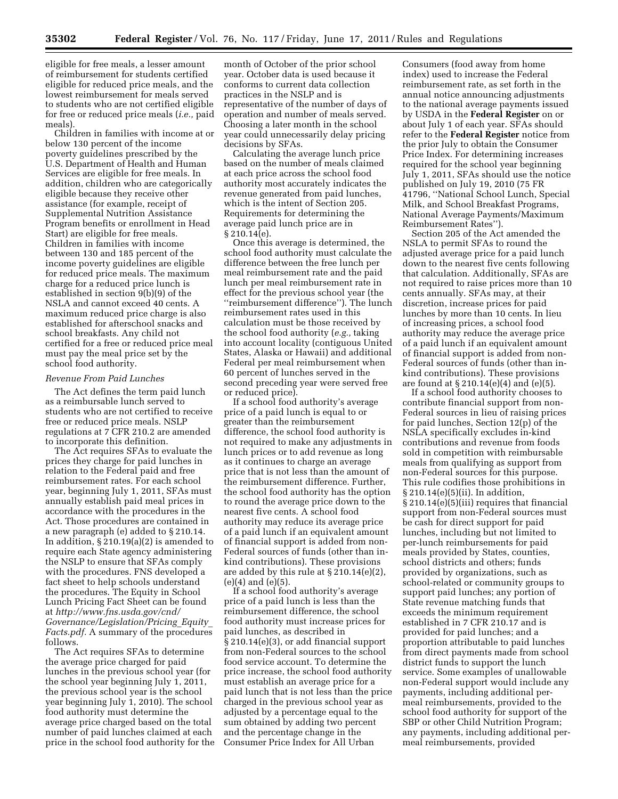eligible for free meals, a lesser amount of reimbursement for students certified eligible for reduced price meals, and the lowest reimbursement for meals served to students who are not certified eligible for free or reduced price meals (*i.e.,* paid meals).

Children in families with income at or below 130 percent of the income poverty guidelines prescribed by the U.S. Department of Health and Human Services are eligible for free meals. In addition, children who are categorically eligible because they receive other assistance (for example, receipt of Supplemental Nutrition Assistance Program benefits or enrollment in Head Start) are eligible for free meals. Children in families with income between 130 and 185 percent of the income poverty guidelines are eligible for reduced price meals. The maximum charge for a reduced price lunch is established in section 9(b)(9) of the NSLA and cannot exceed 40 cents. A maximum reduced price charge is also established for afterschool snacks and school breakfasts. Any child not certified for a free or reduced price meal must pay the meal price set by the school food authority.

#### *Revenue From Paid Lunches*

The Act defines the term paid lunch as a reimbursable lunch served to students who are not certified to receive free or reduced price meals. NSLP regulations at 7 CFR 210.2 are amended to incorporate this definition.

The Act requires SFAs to evaluate the prices they charge for paid lunches in relation to the Federal paid and free reimbursement rates. For each school year, beginning July 1, 2011, SFAs must annually establish paid meal prices in accordance with the procedures in the Act. Those procedures are contained in a new paragraph (e) added to § 210.14. In addition, § 210.19(a)(2) is amended to require each State agency administering the NSLP to ensure that SFAs comply with the procedures. FNS developed a fact sheet to help schools understand the procedures. The Equity in School Lunch Pricing Fact Sheet can be found at *[http://www.fns.usda.gov/cnd/](http://www.fns.usda.gov/cnd/Governance/Legislation/Pricing_Equity_Facts.pdf) [Governance/Legislation/Pricing](http://www.fns.usda.gov/cnd/Governance/Legislation/Pricing_Equity_Facts.pdf)*\_*Equity*\_ *[Facts.pdf.](http://www.fns.usda.gov/cnd/Governance/Legislation/Pricing_Equity_Facts.pdf)* A summary of the procedures follows.

The Act requires SFAs to determine the average price charged for paid lunches in the previous school year (for the school year beginning July 1, 2011, the previous school year is the school year beginning July 1, 2010). The school food authority must determine the average price charged based on the total number of paid lunches claimed at each price in the school food authority for the

month of October of the prior school year. October data is used because it conforms to current data collection practices in the NSLP and is representative of the number of days of operation and number of meals served. Choosing a later month in the school year could unnecessarily delay pricing decisions by SFAs.

Calculating the average lunch price based on the number of meals claimed at each price across the school food authority most accurately indicates the revenue generated from paid lunches, which is the intent of Section 205. Requirements for determining the average paid lunch price are in § 210.14(e).

Once this average is determined, the school food authority must calculate the difference between the free lunch per meal reimbursement rate and the paid lunch per meal reimbursement rate in effect for the previous school year (the ''reimbursement difference''). The lunch reimbursement rates used in this calculation must be those received by the school food authority (*e.g.,* taking into account locality (contiguous United States, Alaska or Hawaii) and additional Federal per meal reimbursement when 60 percent of lunches served in the second preceding year were served free or reduced price).

If a school food authority's average price of a paid lunch is equal to or greater than the reimbursement difference, the school food authority is not required to make any adjustments in lunch prices or to add revenue as long as it continues to charge an average price that is not less than the amount of the reimbursement difference. Further, the school food authority has the option to round the average price down to the nearest five cents. A school food authority may reduce its average price of a paid lunch if an equivalent amount of financial support is added from non-Federal sources of funds (other than inkind contributions). These provisions are added by this rule at § 210.14(e)(2), (e)(4) and (e)(5).

If a school food authority's average price of a paid lunch is less than the reimbursement difference, the school food authority must increase prices for paid lunches, as described in § 210.14(e)(3), or add financial support from non-Federal sources to the school food service account. To determine the price increase, the school food authority must establish an average price for a paid lunch that is not less than the price charged in the previous school year as adjusted by a percentage equal to the sum obtained by adding two percent and the percentage change in the Consumer Price Index for All Urban

Consumers (food away from home index) used to increase the Federal reimbursement rate, as set forth in the annual notice announcing adjustments to the national average payments issued by USDA in the **Federal Register** on or about July 1 of each year. SFAs should refer to the **Federal Register** notice from the prior July to obtain the Consumer Price Index. For determining increases required for the school year beginning July 1, 2011, SFAs should use the notice published on July 19, 2010 (75 FR 41796, ''National School Lunch, Special Milk, and School Breakfast Programs, National Average Payments/Maximum Reimbursement Rates'').

Section 205 of the Act amended the NSLA to permit SFAs to round the adjusted average price for a paid lunch down to the nearest five cents following that calculation. Additionally, SFAs are not required to raise prices more than 10 cents annually. SFAs may, at their discretion, increase prices for paid lunches by more than 10 cents. In lieu of increasing prices, a school food authority may reduce the average price of a paid lunch if an equivalent amount of financial support is added from non-Federal sources of funds (other than inkind contributions). These provisions are found at  $\S 210.14(e)(4)$  and  $(e)(5)$ .

If a school food authority chooses to contribute financial support from non-Federal sources in lieu of raising prices for paid lunches, Section 12(p) of the NSLA specifically excludes in-kind contributions and revenue from foods sold in competition with reimbursable meals from qualifying as support from non-Federal sources for this purpose. This rule codifies those prohibitions in § 210.14(e)(5)(ii). In addition, § 210.14(e)(5)(iii) requires that financial support from non-Federal sources must be cash for direct support for paid lunches, including but not limited to per-lunch reimbursements for paid meals provided by States, counties, school districts and others; funds provided by organizations, such as school-related or community groups to support paid lunches; any portion of State revenue matching funds that exceeds the minimum requirement established in 7 CFR 210.17 and is provided for paid lunches; and a proportion attributable to paid lunches from direct payments made from school district funds to support the lunch service. Some examples of unallowable non-Federal support would include any payments, including additional permeal reimbursements, provided to the school food authority for support of the SBP or other Child Nutrition Program; any payments, including additional permeal reimbursements, provided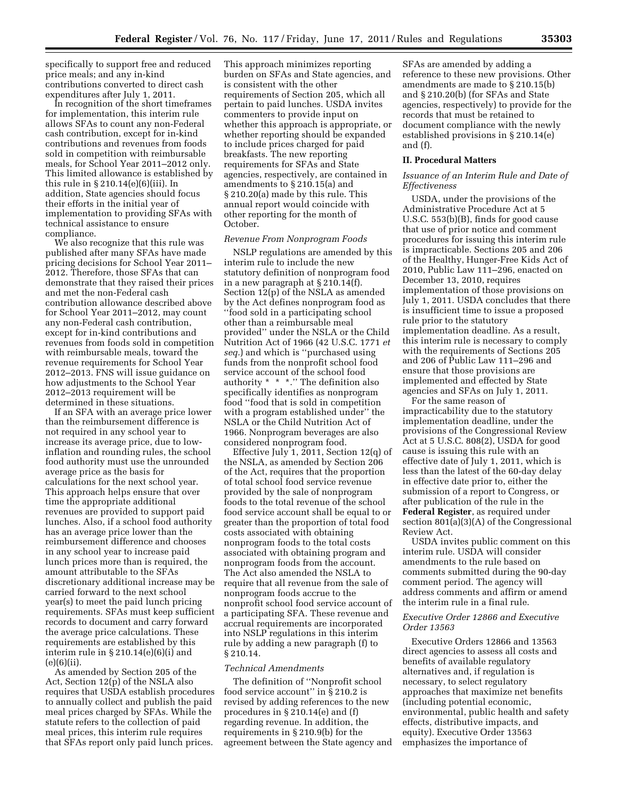specifically to support free and reduced price meals; and any in-kind contributions converted to direct cash expenditures after July 1, 2011.

In recognition of the short timeframes for implementation, this interim rule allows SFAs to count any non-Federal cash contribution, except for in-kind contributions and revenues from foods sold in competition with reimbursable meals, for School Year 2011–2012 only. This limited allowance is established by this rule in § 210.14(e)(6)(iii). In addition, State agencies should focus their efforts in the initial year of implementation to providing SFAs with technical assistance to ensure compliance.

We also recognize that this rule was published after many SFAs have made pricing decisions for School Year 2011– 2012. Therefore, those SFAs that can demonstrate that they raised their prices and met the non-Federal cash contribution allowance described above for School Year 2011–2012, may count any non-Federal cash contribution, except for in-kind contributions and revenues from foods sold in competition with reimbursable meals, toward the revenue requirements for School Year 2012–2013. FNS will issue guidance on how adjustments to the School Year 2012–2013 requirement will be determined in these situations.

If an SFA with an average price lower than the reimbursement difference is not required in any school year to increase its average price, due to lowinflation and rounding rules, the school food authority must use the unrounded average price as the basis for calculations for the next school year. This approach helps ensure that over time the appropriate additional revenues are provided to support paid lunches. Also, if a school food authority has an average price lower than the reimbursement difference and chooses in any school year to increase paid lunch prices more than is required, the amount attributable to the SFAs discretionary additional increase may be carried forward to the next school year(s) to meet the paid lunch pricing requirements. SFAs must keep sufficient records to document and carry forward the average price calculations. These requirements are established by this interim rule in § 210.14(e)(6)(i) and  $(e)(6)(ii)$ .

As amended by Section 205 of the Act, Section 12(p) of the NSLA also requires that USDA establish procedures to annually collect and publish the paid meal prices charged by SFAs. While the statute refers to the collection of paid meal prices, this interim rule requires that SFAs report only paid lunch prices.

This approach minimizes reporting burden on SFAs and State agencies, and is consistent with the other requirements of Section 205, which all pertain to paid lunches. USDA invites commenters to provide input on whether this approach is appropriate, or whether reporting should be expanded to include prices charged for paid breakfasts. The new reporting requirements for SFAs and State agencies, respectively, are contained in amendments to § 210.15(a) and § 210.20(a) made by this rule. This annual report would coincide with other reporting for the month of October.

## *Revenue From Nonprogram Foods*

NSLP regulations are amended by this interim rule to include the new statutory definition of nonprogram food in a new paragraph at § 210.14(f). Section 12(p) of the NSLA as amended by the Act defines nonprogram food as ''food sold in a participating school other than a reimbursable meal provided'' under the NSLA or the Child Nutrition Act of 1966 (42 U.S.C. 1771 *et seq.*) and which is ''purchased using funds from the nonprofit school food service account of the school food authority \* \* \*.'' The definition also specifically identifies as nonprogram food ''food that is sold in competition with a program established under'' the NSLA or the Child Nutrition Act of 1966. Nonprogram beverages are also considered nonprogram food.

Effective July 1, 2011, Section 12(q) of the NSLA, as amended by Section 206 of the Act, requires that the proportion of total school food service revenue provided by the sale of nonprogram foods to the total revenue of the school food service account shall be equal to or greater than the proportion of total food costs associated with obtaining nonprogram foods to the total costs associated with obtaining program and nonprogram foods from the account. The Act also amended the NSLA to require that all revenue from the sale of nonprogram foods accrue to the nonprofit school food service account of a participating SFA. These revenue and accrual requirements are incorporated into NSLP regulations in this interim rule by adding a new paragraph (f) to § 210.14.

## *Technical Amendments*

The definition of ''Nonprofit school food service account" in  $\S 210.2$  is revised by adding references to the new procedures in § 210.14(e) and (f) regarding revenue. In addition, the requirements in § 210.9(b) for the agreement between the State agency and

SFAs are amended by adding a reference to these new provisions. Other amendments are made to § 210.15(b) and § 210.20(b) (for SFAs and State agencies, respectively) to provide for the records that must be retained to document compliance with the newly established provisions in § 210.14(e) and (f).

## **II. Procedural Matters**

## *Issuance of an Interim Rule and Date of Effectiveness*

USDA, under the provisions of the Administrative Procedure Act at 5 U.S.C. 553(b)(B), finds for good cause that use of prior notice and comment procedures for issuing this interim rule is impracticable. Sections 205 and 206 of the Healthy, Hunger-Free Kids Act of 2010, Public Law 111–296, enacted on December 13, 2010, requires implementation of those provisions on July 1, 2011. USDA concludes that there is insufficient time to issue a proposed rule prior to the statutory implementation deadline. As a result, this interim rule is necessary to comply with the requirements of Sections 205 and 206 of Public Law 111–296 and ensure that those provisions are implemented and effected by State agencies and SFAs on July 1, 2011.

For the same reason of impracticability due to the statutory implementation deadline, under the provisions of the Congressional Review Act at 5 U.S.C. 808(2), USDA for good cause is issuing this rule with an effective date of July 1, 2011, which is less than the latest of the 60-day delay in effective date prior to, either the submission of a report to Congress, or after publication of the rule in the **Federal Register**, as required under section 801(a)(3)(A) of the Congressional Review Act.

USDA invites public comment on this interim rule. USDA will consider amendments to the rule based on comments submitted during the 90-day comment period. The agency will address comments and affirm or amend the interim rule in a final rule.

#### *Executive Order 12866 and Executive Order 13563*

Executive Orders 12866 and 13563 direct agencies to assess all costs and benefits of available regulatory alternatives and, if regulation is necessary, to select regulatory approaches that maximize net benefits (including potential economic, environmental, public health and safety effects, distributive impacts, and equity). Executive Order 13563 emphasizes the importance of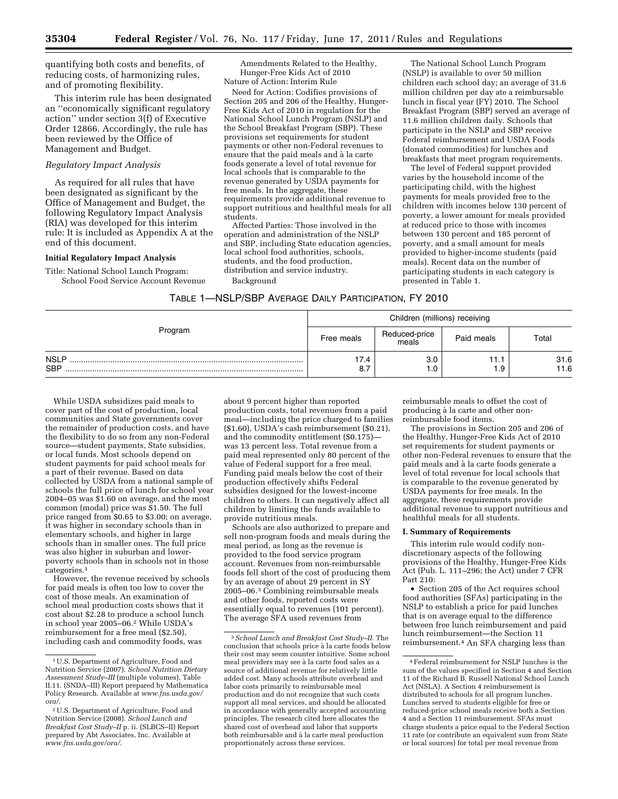quantifying both costs and benefits, of reducing costs, of harmonizing rules, and of promoting flexibility.

This interim rule has been designated an ''economically significant regulatory action'' under section 3(f) of Executive Order 12866. Accordingly, the rule has been reviewed by the Office of Management and Budget.

# *Regulatory Impact Analysis*

As required for all rules that have been designated as significant by the Office of Management and Budget, the following Regulatory Impact Analysis (RIA) was developed for this interim rule: It is included as Appendix A at the end of this document.

#### **Initial Regulatory Impact Analysis**

Title: National School Lunch Program: School Food Service Account Revenue

Amendments Related to the Healthy, Hunger-Free Kids Act of 2010 Nature of Action: Interim Rule

Need for Action: Codifies provisions of Section 205 and 206 of the Healthy, Hunger-Free Kids Act of 2010 in regulation for the National School Lunch Program (NSLP) and the School Breakfast Program (SBP). These provisions set requirements for student payments or other non-Federal revenues to ensure that the paid meals and à la carte foods generate a level of total revenue for local schools that is comparable to the revenue generated by USDA payments for free meals. In the aggregate, these requirements provide additional revenue to support nutritious and healthful meals for all students.

Affected Parties: Those involved in the operation and administration of the NSLP and SBP, including State education agencies, local school food authorities, schools, students, and the food production, distribution and service industry.

Background

The National School Lunch Program (NSLP) is available to over 50 million children each school day; an average of 31.6 million children per day ate a reimbursable lunch in fiscal year (FY) 2010. The School Breakfast Program (SBP) served an average of 11.6 million children daily. Schools that participate in the NSLP and SBP receive Federal reimbursement and USDA Foods (donated commodities) for lunches and breakfasts that meet program requirements.

The level of Federal support provided varies by the household income of the participating child, with the highest payments for meals provided free to the children with incomes below 130 percent of poverty, a lower amount for meals provided at reduced price to those with incomes between 130 percent and 185 percent of poverty, and a small amount for meals provided to higher-income students (paid meals). Recent data on the number of participating students in each category is presented in Table 1.

| TABLE 1—NSLP/SBP AVERAGE DAILY PARTICIPATION, FY 2010 |  |  |  |
|-------------------------------------------------------|--|--|--|
|-------------------------------------------------------|--|--|--|

|                           | Children (millions) receiving |                        |             |              |  |  |  |
|---------------------------|-------------------------------|------------------------|-------------|--------------|--|--|--|
| Program                   | Free meals                    | Reduced-price<br>meals | Paid meals  | Total        |  |  |  |
| <b>NSLP</b><br><b>SBP</b> | 17.4<br>8.7                   | 3.0<br>1.0             | 11.1<br>1.9 | 31.6<br>11.6 |  |  |  |

While USDA subsidizes paid meals to cover part of the cost of production, local communities and State governments cover the remainder of production costs, and have the flexibility to do so from any non-Federal source—student payments, State subsidies, or local funds. Most schools depend on student payments for paid school meals for a part of their revenue. Based on data collected by USDA from a national sample of schools the full price of lunch for school year 2004–05 was \$1.60 on average, and the most common (modal) price was \$1.50. The full price ranged from \$0.65 to \$3.00; on average, it was higher in secondary schools than in elementary schools, and higher in large schools than in smaller ones. The full price was also higher in suburban and lowerpoverty schools than in schools not in those categories.<sup>1</sup>

However, the revenue received by schools for paid meals is often too low to cover the cost of those meals. An examination of school meal production costs shows that it cost about \$2.28 to produce a school lunch in school year 2005–06.2 While USDA's reimbursement for a free meal (\$2.50), including cash and commodity foods, was

about 9 percent higher than reported production costs, total revenues from a paid meal—including the price charged to families (\$1.60), USDA's cash reimbursement (\$0.21), and the commodity entitlement (\$0.175) was 13 percent less. Total revenue from a paid meal represented only 80 percent of the value of Federal support for a free meal. Funding paid meals below the cost of their production effectively shifts Federal subsidies designed for the lowest-income children to others. It can negatively affect all children by limiting the funds available to provide nutritious meals.

Schools are also authorized to prepare and sell non-program foods and meals during the meal period, as long as the revenue is provided to the food service program account. Revenues from non-reimbursable foods fell short of the cost of producing them by an average of about 29 percent in SY 2005–06.3 Combining reimbursable meals and other foods, reported costs were essentially equal to revenues (101 percent). The average SFA used revenues from

reimbursable meals to offset the cost of producing à la carte and other nonreimbursable food items.

The provisions in Section 205 and 206 of the Healthy, Hunger-Free Kids Act of 2010 set requirements for student payments or other non-Federal revenues to ensure that the paid meals and à la carte foods generate a level of total revenue for local schools that is comparable to the revenue generated by USDA payments for free meals. In the aggregate, these requirements provide additional revenue to support nutritious and healthful meals for all students.

#### **I. Summary of Requirements**

This interim rule would codify nondiscretionary aspects of the following provisions of the Healthy, Hunger-Free Kids Act (Pub. L. 111–296; the Act) under 7 CFR Part 210:

• Section 205 of the Act requires school food authorities (SFAs) participating in the NSLP to establish a price for paid lunches that is on average equal to the difference between free lunch reimbursement and paid lunch reimbursement—the Section 11 reimbursement.4 An SFA charging less than

<sup>1</sup>U.S. Department of Agriculture, Food and Nutrition Service (2007). *School Nutrition Dietary Assessment Study–III* (multiple volumes), Table II.11. (SNDA–III) Report prepared by Mathematica Policy Research. Available at *[www.fns.usda.gov/](http://www.fns.usda.gov/ora/) [ora/.](http://www.fns.usda.gov/ora/)* 

<sup>2</sup>U.S. Department of Agriculture, Food and Nutrition Service (2008). *School Lunch and Breakfast Cost Study–II* p. ii. (SLBCS–II) Report prepared by Abt Associates, Inc. Available at *[www.fns.usda.gov/ora/.](http://www.fns.usda.gov/ora/)* 

<sup>3</sup>*School Lunch and Breakfast Cost Study–II.* The conclusion that schools price a` la carte foods below their cost may seem counter intuitive. Some school meal providers may see à la carte food sales as a source of additional revenue for relatively little added cost. Many schools attribute overhead and labor costs primarily to reimbursable meal production and do not recognize that such costs support all meal services, and should be allocated in accordance with generally accepted accounting principles. The research cited here allocates the shared cost of overhead and labor that supports both reimbursable and à la carte meal production proportionately across these services.

<sup>4</sup>Federal reimbursement for NSLP lunches is the sum of the values specified in Section 4 and Section 11 of the Richard B. Russell National School Lunch Act (NSLA). A Section 4 reimbursement is distributed to schools for all program lunches. Lunches served to students eligible for free or reduced-price school meals receive both a Section 4 and a Section 11 reimbursement. SFAs must charge students a price equal to the Federal Section 11 rate (or contribute an equivalent sum from State or local sources) for total per meal revenue from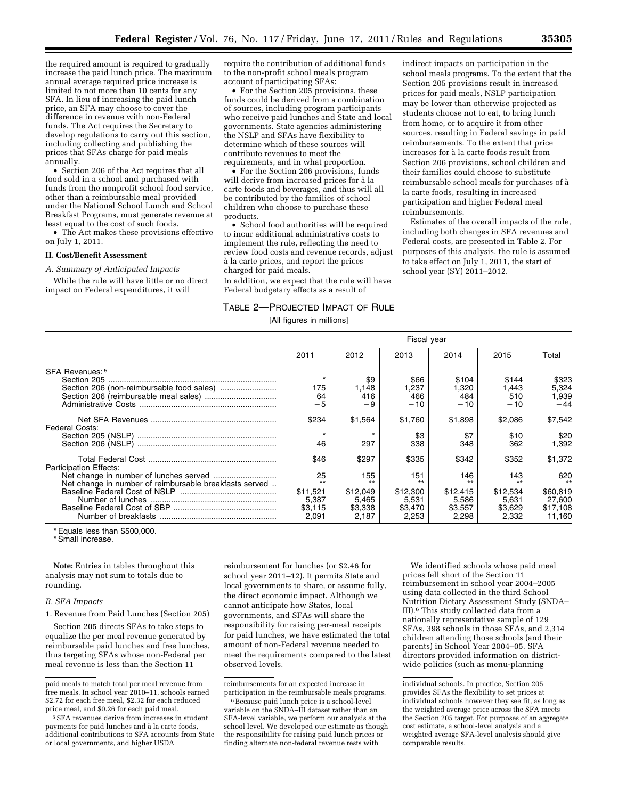the required amount is required to gradually increase the paid lunch price. The maximum annual average required price increase is limited to not more than 10 cents for any SFA. In lieu of increasing the paid lunch price, an SFA may choose to cover the difference in revenue with non-Federal funds. The Act requires the Secretary to develop regulations to carry out this section, including collecting and publishing the prices that SFAs charge for paid meals annually.

• Section 206 of the Act requires that all food sold in a school and purchased with funds from the nonprofit school food service, other than a reimbursable meal provided under the National School Lunch and School Breakfast Programs, must generate revenue at least equal to the cost of such foods.

• The Act makes these provisions effective on July 1, 2011.

#### **II. Cost/Benefit Assessment**

#### *A. Summary of Anticipated Impacts*

While the rule will have little or no direct impact on Federal expenditures, it will

require the contribution of additional funds to the non-profit school meals program account of participating SFAs:

• For the Section 205 provisions, these funds could be derived from a combination of sources, including program participants who receive paid lunches and State and local governments. State agencies administering the NSLP and SFAs have flexibility to determine which of these sources will contribute revenues to meet the requirements, and in what proportion.

• For the Section 206 provisions, funds will derive from increased prices for à la carte foods and beverages, and thus will all be contributed by the families of school children who choose to purchase these products.

• School food authorities will be required to incur additional administrative costs to implement the rule, reflecting the need to review food costs and revenue records, adjust a` la carte prices, and report the prices charged for paid meals.

In addition, we expect that the rule will have Federal budgetary effects as a result of

indirect impacts on participation in the school meals programs. To the extent that the Section 205 provisions result in increased prices for paid meals, NSLP participation may be lower than otherwise projected as students choose not to eat, to bring lunch from home, or to acquire it from other sources, resulting in Federal savings in paid reimbursements. To the extent that price increases for à la carte foods result from Section 206 provisions, school children and their families could choose to substitute reimbursable school meals for purchases of a` la carte foods, resulting in increased participation and higher Federal meal reimbursements.

Estimates of the overall impacts of the rule, including both changes in SFA revenues and Federal costs, are presented in Table 2. For purposes of this analysis, the rule is assumed to take effect on July 1, 2011, the start of school year (SY) 2011–2012.

# TABLE 2—PROJECTED IMPACT OF RULE

[All figures in millions]

| 2012<br>\$9<br>1,148 | 2013<br>\$66          | 2014<br>\$104         | 2015                          | Total                            |
|----------------------|-----------------------|-----------------------|-------------------------------|----------------------------------|
|                      |                       |                       |                               |                                  |
| 416<br>- 9           | 1.237<br>466<br>$-10$ | 1,320<br>484<br>$-10$ | \$144<br>.443<br>510<br>$-10$ | \$323<br>5,324<br>1,939<br>$-44$ |
| \$1,564              | \$1,760               | \$1,898               | \$2,086                       | \$7,542                          |
| $\star$              | $-$ \$3               | $-$ \$7               | $- $10$                       | $-$ \$20                         |
| 297                  | 338                   | 348                   | 362                           | 1.392                            |
| \$297                | \$335                 | \$342                 | \$352                         | \$1,372                          |
| 155                  | 151                   | 146                   | 143                           | 620                              |
| $***$                | $***$                 | $+ +$                 | $***$                         | \$60,819                         |
| \$12,049             | \$12,300              | \$12,415              | \$12,534                      | 27,600                           |
| 5,465                | 5.531                 | 5,586                 | 5,631                         | \$17,108                         |
|                      | \$3,338               | \$3.470               | \$3,557                       | \$3.629                          |
|                      | 2.187                 | 2,253                 | 2.298                         | 2.332                            |

\* Equals less than \$500,000.

\* Small increase.

**Note:** Entries in tables throughout this analysis may not sum to totals due to rounding.

#### *B. SFA Impacts*

1. Revenue from Paid Lunches (Section 205)

Section 205 directs SFAs to take steps to equalize the per meal revenue generated by reimbursable paid lunches and free lunches, thus targeting SFAs whose non-Federal per meal revenue is less than the Section 11

reimbursement for lunches (or \$2.46 for school year 2011–12). It permits State and local governments to share, or assume fully, the direct economic impact. Although we cannot anticipate how States, local governments, and SFAs will share the responsibility for raising per-meal receipts for paid lunches, we have estimated the total amount of non-Federal revenue needed to meet the requirements compared to the latest observed levels.

We identified schools whose paid meal prices fell short of the Section 11 reimbursement in school year 2004–2005 using data collected in the third School Nutrition Dietary Assessment Study (SNDA– III).6 This study collected data from a nationally representative sample of 129 SFAs, 398 schools in those SFAs, and 2,314 children attending those schools (and their parents) in School Year 2004–05. SFA directors provided information on districtwide policies (such as menu-planning

paid meals to match total per meal revenue from free meals. In school year 2010–11, schools earned \$2.72 for each free meal, \$2.32 for each reduced price meal, and \$0.26 for each paid meal.

<sup>5</sup>SFA revenues derive from increases in student payments for paid lunches and à la carte foods, additional contributions to SFA accounts from State or local governments, and higher USDA

reimbursements for an expected increase in participation in the reimbursable meals programs.

 $^{\rm 6}$  Because paid lunch price is a school-level variable on the SNDA–III dataset rather than an SFA-level variable, we perform our analysis at the school level. We developed our estimate as though the responsibility for raising paid lunch prices or finding alternate non-federal revenue rests with

individual schools. In practice, Section 205 provides SFAs the flexibility to set prices at individual schools however they see fit, as long as the weighted average price across the SFA meets the Section 205 target. For purposes of an aggregate cost estimate, a school-level analysis and a weighted average SFA-level analysis should give comparable results.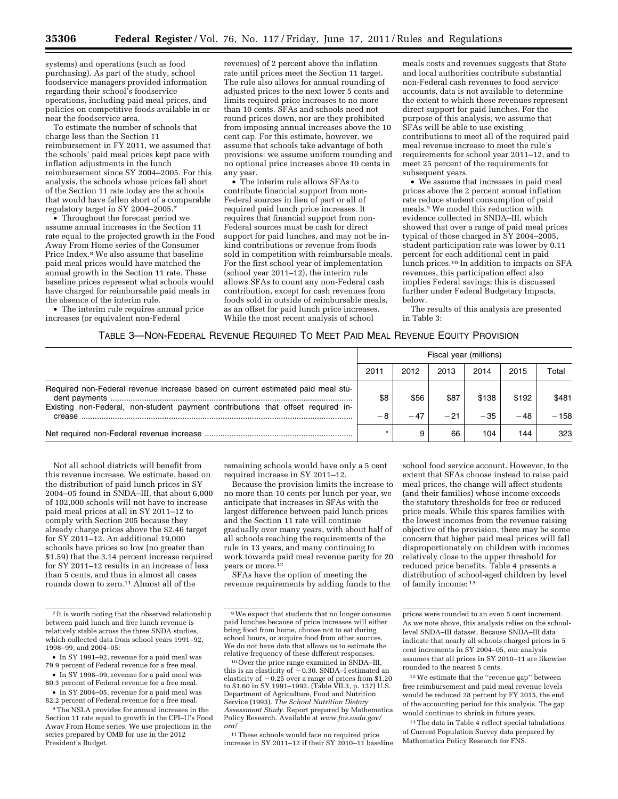systems) and operations (such as food purchasing). As part of the study, school foodservice managers provided information regarding their school's foodservice operations, including paid meal prices, and policies on competitive foods available in or near the foodservice area.

To estimate the number of schools that charge less than the Section 11 reimbursement in FY 2011, we assumed that the schools' paid meal prices kept pace with inflation adjustments in the lunch reimbursement since SY 2004–2005. For this analysis, the schools whose prices fall short of the Section 11 rate today are the schools that would have fallen short of a comparable regulatory target in SY 2004–2005.7

• Throughout the forecast period we assume annual increases in the Section 11 rate equal to the projected growth in the Food Away From Home series of the Consumer Price Index.8 We also assume that baseline paid meal prices would have matched the annual growth in the Section 11 rate. These baseline prices represent what schools would have charged for reimbursable paid meals in the absence of the interim rule.

• The interim rule requires annual price increases (or equivalent non-Federal

revenues) of 2 percent above the inflation rate until prices meet the Section 11 target. The rule also allows for annual rounding of adjusted prices to the next lower 5 cents and limits required price increases to no more than 10 cents. SFAs and schools need not round prices down, nor are they prohibited from imposing annual increases above the 10 cent cap. For this estimate, however, we assume that schools take advantage of both provisions: we assume uniform rounding and no optional price increases above 10 cents in any year.

• The interim rule allows SFAs to contribute financial support from non-Federal sources in lieu of part or all of required paid lunch price increases. It requires that financial support from non-Federal sources must be cash for direct support for paid lunches, and may not be inkind contributions or revenue from foods sold in competition with reimbursable meals. For the first school year of implementation (school year 2011–12), the interim rule allows SFAs to count any non-Federal cash contribution, except for cash revenues from foods sold in outside of reimbursable meals, as an offset for paid lunch price increases. While the most recent analysis of school

meals costs and revenues suggests that State and local authorities contribute substantial non-Federal cash revenues to food service accounts, data is not available to determine the extent to which these revenues represent direct support for paid lunches. For the purpose of this analysis, we assume that SFAs will be able to use existing contributions to meet all of the required paid meal revenue increase to meet the rule's requirements for school year 2011–12, and to meet 25 percent of the requirements for subsequent years.

• We assume that increases in paid meal prices above the 2 percent annual inflation rate reduce student consumption of paid meals.9 We model this reduction with evidence collected in SNDA–III, which showed that over a range of paid meal prices typical of those charged in SY 2004–2005, student participation rate was lower by 0.11 percent for each additional cent in paid lunch prices.10 In addition to impacts on SFA revenues, this participation effect also implies Federal savings; this is discussed further under Federal Budgetary Impacts, below.

The results of this analysis are presented in Table 3:

#### TABLE 3—NON-FEDERAL REVENUE REQUIRED TO MEET PAID MEAL REVENUE EQUITY PROVISION

|                                                                                            | Fiscal year (millions) |       |       |       |       |        |  |
|--------------------------------------------------------------------------------------------|------------------------|-------|-------|-------|-------|--------|--|
|                                                                                            | 2011                   | 2012  | 2013  | 2014  | 2015  | Total  |  |
| Required non-Federal revenue increase based on current estimated paid meal stu-            | \$8                    | \$56  | \$87  | \$138 | \$192 | \$481  |  |
| Existing non-Federal, non-student payment contributions that offset required in-<br>crease | -8                     | $-47$ | $-21$ | $-35$ | $-48$ | $-158$ |  |
|                                                                                            |                        |       | 66    | 104   | 144   | 323    |  |

Not all school districts will benefit from this revenue increase. We estimate, based on the distribution of paid lunch prices in SY 2004–05 found in SNDA–III, that about 6,000 of 102,000 schools will not have to increase paid meal prices at all in SY 2011–12 to comply with Section 205 because they already charge prices above the \$2.46 target for SY 2011–12. An additional 19,000 schools have prices so low (no greater than \$1.59) that the 3.14 percent increase required for SY 2011–12 results in an increase of less than 5 cents, and thus in almost all cases rounds down to zero.<sup>11</sup> Almost all of the

remaining schools would have only a 5 cent required increase in SY 2011–12.

Because the provision limits the increase to no more than 10 cents per lunch per year, we anticipate that increases in SFAs with the largest difference between paid lunch prices and the Section 11 rate will continue gradually over many years, with about half of all schools reaching the requirements of the rule in 13 years, and many continuing to work towards paid meal revenue parity for 20 years or more.<sup>12</sup>

SFAs have the option of meeting the revenue requirements by adding funds to the

10Over the price range examined in SNDA–III, this is an elasticity of  $-0.30$ . SNDA–I estimated an elasticity of  $-0.25$  over a range of prices from \$1.20 to \$1.60 in SY 1991–1992. (Table VII.3, p. 137) U.S. Department of Agriculture, Food and Nutrition Service (1993). *The School Nutrition Dietary Assessment Study.* Report prepared by Mathematica Policy Research. Available at *[www.fns.usda.gov/](http://www.fns.usda.gov/ora/) [ora/](http://www.fns.usda.gov/ora/)* 

11These schools would face no required price increase in SY 2011–12 if their SY 2010–11 baseline

school food service account. However, to the extent that SFAs choose instead to raise paid meal prices, the change will affect students (and their families) whose income exceeds the statutory thresholds for free or reduced price meals. While this spares families with the lowest incomes from the revenue raising objective of the provision, there may be some concern that higher paid meal prices will fall disproportionately on children with incomes relatively close to the upper threshold for reduced price benefits. Table 4 presents a distribution of school-aged children by level of family income: 13

13The data in Table 4 reflect special tabulations of Current Population Survey data prepared by Mathematica Policy Research for FNS.

<sup>7</sup> It is worth noting that the observed relationship between paid lunch and free lunch revenue is relatively stable across the three SNDA studies, which collected data from school years 1991–92, 1998–99, and 2004–05:

<sup>•</sup> In SY 1991–92, revenue for a paid meal was 79.9 percent of Federal revenue for a free meal. • In SY 1998–99, revenue for a paid meal was

<sup>80.3</sup> percent of Federal revenue for a free meal.

<sup>•</sup> In SY 2004–05, revenue for a paid meal was 82.2 percent of Federal revenue for a free meal.

<sup>8</sup>The NSLA provides for annual increases in the Section 11 rate equal to growth in the CPI–U's Food Away From Home series. We use projections in the series prepared by OMB for use in the 2012 President's Budget.

<sup>9</sup>We expect that students that no longer consume paid lunches because of price increases will either bring food from home, choose not to eat during school hours, or acquire food from other sources. We do not have data that allows us to estimate the relative frequency of these different responses.

prices were rounded to an even 5 cent increment. As we note above, this analysis relies on the schoollevel SNDA–III dataset. Because SNDA–III data indicate that nearly all schools charged prices in 5 cent increments in SY 2004–05, our analysis assumes that all prices in SY 2010–11 are likewise rounded to the nearest 5 cents.

<sup>12</sup>We estimate that the ''revenue gap'' between free reimbursement and paid meal revenue levels would be reduced 28 percent by FY 2015, the end of the accounting period for this analysis. The gap would continue to shrink in future years.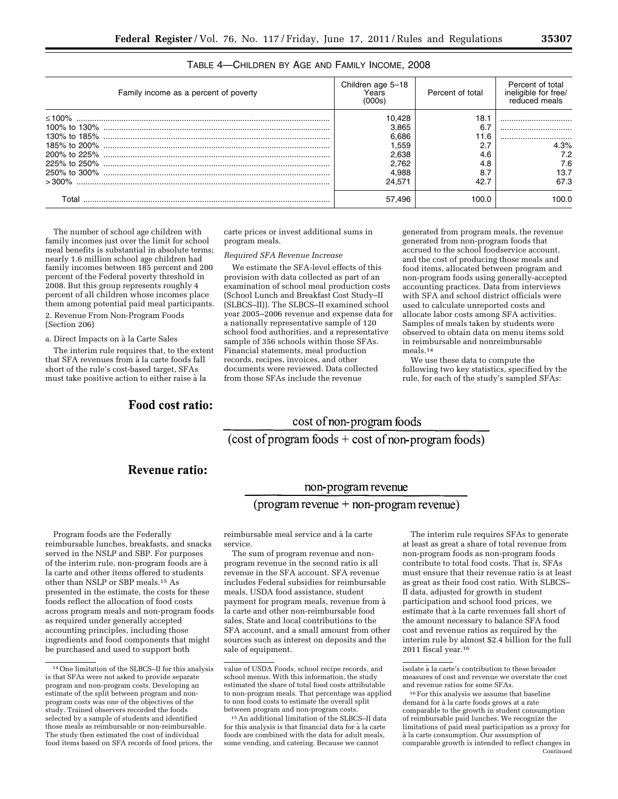| Family income as a percent of poverty | Children age 5-18<br>Years<br>(000s) | Percent of total | Percent of total<br>ineligible for free/<br>reduced meals |
|---------------------------------------|--------------------------------------|------------------|-----------------------------------------------------------|
|                                       | 10,428                               | 18.1             |                                                           |
|                                       | 3.865                                | 6.7              |                                                           |
|                                       | 6.686                                | 11.6             |                                                           |
|                                       | 1.559                                | 2.7              | 4.3%                                                      |
|                                       | 2.638                                | 4.6              | 7.2                                                       |
|                                       | 2.762                                | 4.8              | 7.6                                                       |
|                                       | 4.988                                | 8.7              | 13.7                                                      |
|                                       | 24.571                               | 42.7             | 67.3                                                      |
| Total                                 | 57.496                               | 100.0            | 100.0                                                     |

# TABLE 4—CHILDREN BY AGE AND FAMILY INCOME, 2008

The number of school age children with family incomes just over the limit for school meal benefits is substantial in absolute terms; nearly 1.6 million school age children had family incomes between 185 percent and 200 percent of the Federal poverty threshold in 2008. But this group represents roughly 4 percent of all children whose incomes place them among potential paid meal participants.

2. Revenue From Non-Program Foods (Section 206)

a. Direct Impacts on à la Carte Sales

The interim rule requires that, to the extent that SFA revenues from à la carte foods fall short of the rule's cost-based target, SFAs must take positive action to either raise à la

# Food cost ratio:

carte prices or invest additional sums in program meals.

## *Required SFA Revenue Increase*

We estimate the SFA-level effects of this provision with data collected as part of an examination of school meal production costs (School Lunch and Breakfast Cost Study–II (SLBCS–II)). The SLBCS–II examined school year 2005–2006 revenue and expense data for a nationally representative sample of 120 school food authorities, and a representative sample of 356 schools within those SFAs. Financial statements, meal production records, recipes, invoices, and other documents were reviewed. Data collected from those SFAs include the revenue

generated from program meals, the revenue generated from non-program foods that accrued to the school foodservice account, and the cost of producing those meals and food items, allocated between program and non-program foods using generally-accepted accounting practices. Data from interviews with SFA and school district officials were used to calculate unreported costs and allocate labor costs among SFA activities. Samples of meals taken by students were observed to obtain data on menu items sold in reimbursable and nonreimbursable meals.14

We use these data to compute the following two key statistics, specified by the rule, for each of the study's sampled SFAs:

# cost of non-program foods

(cost of program foods + cost of non-program foods)

# Revenue ratio:

# non-program revenue

# $(\text{program revenue} + \text{non-program revenue})$

Program foods are the Federally reimbursable lunches, breakfasts, and snacks served in the NSLP and SBP. For purposes of the interim rule, non-program foods are à la carte and other items offered to students other than NSLP or SBP meals.15 As presented in the estimate, the costs for these foods reflect the allocation of food costs across program meals and non-program foods as required under generally accepted accounting principles, including those ingredients and food components that might be purchased and used to support both

reimbursable meal service and à la carte service.

The sum of program revenue and nonprogram revenue in the second ratio is all revenue in the SFA account. SFA revenue includes Federal subsidies for reimbursable meals, USDA food assistance, student payment for program meals, revenue from a` la carte and other non-reimbursable food sales, State and local contributions to the SFA account, and a small amount from other sources such as interest on deposits and the sale of equipment.

15An additional limitation of the SLBCS–II data for this analysis is that financial data for à la carte foods are combined with the data for adult meals, some vending, and catering. Because we cannot

The interim rule requires SFAs to generate at least as great a share of total revenue from non-program foods as non-program foods contribute to total food costs. That is, SFAs must ensure that their revenue ratio is at least as great as their food cost ratio. With SLBCS– II data, adjusted for growth in student participation and school food prices, we estimate that à la carte revenues fall short of the amount necessary to balance SFA food cost and revenue ratios as required by the interim rule by almost \$2.4 billion for the full 2011 fiscal year.16

<sup>14</sup>One limitation of the SLBCS–II for this analysis is that SFAs were not asked to provide separate program and non-program costs. Developing an estimate of the split between program and nonprogram costs was one of the objectives of the study. Trained observers recorded the foods selected by a sample of students and identified those meals as reimbursable or non-reimbursable. The study then estimated the cost of individual food items based on SFA records of food prices, the

value of USDA Foods, school recipe records, and school menus. With this information, the study estimated the share of total food costs attributable to non-program meals. That percentage was applied to non food costs to estimate the overall split between program and non-program costs.

isolate à la carte's contribution to these broader measures of cost and revenue we overstate the cost and revenue ratios for some SFAs.

<sup>16</sup>For this analysis we assume that baseline demand for à la carte foods grows at a rate comparable to the growth in student consumption of reimbursable paid lunches. We recognize the limitations of paid meal participation as a proxy for a` la carte consumption. Our assumption of comparable growth is intended to reflect changes in **Continued**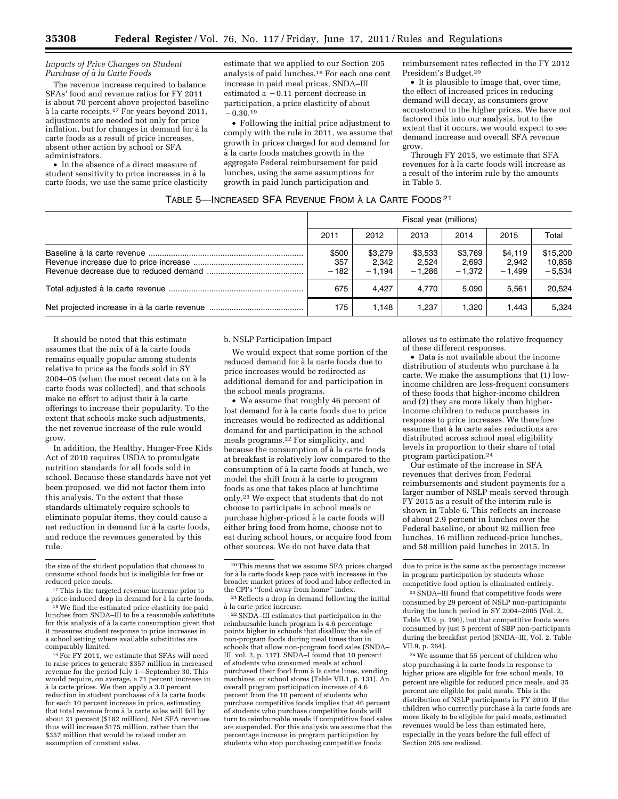#### *Impacts of Price Changes on Student Purchase of a` la Carte Foods*

The revenue increase required to balance SFAs' food and revenue ratios for FY 2011 is about 70 percent above projected baseline à la carte receipts.<sup>17</sup> For years beyond 2011, adjustments are needed not only for price inflation, but for changes in demand for à la carte foods as a result of price increases, absent other action by school or SFA administrators.

• In the absence of a direct measure of student sensitivity to price increases in à la carte foods, we use the same price elasticity

estimate that we applied to our Section 205 analysis of paid lunches.18 For each one cent increase in paid meal prices, SNDA–III estimated a  $-0.11$  percent decrease in participation, a price elasticity of about  $-0.30.^{19}$ 

• Following the initial price adjustment to comply with the rule in 2011, we assume that growth in prices charged for and demand for a` la carte foods matches growth in the aggregate Federal reimbursement for paid lunches, using the same assumptions for growth in paid lunch participation and

reimbursement rates reflected in the FY 2012 President's Budget.20

• It is plausible to image that, over time, the effect of increased prices in reducing demand will decay, as consumers grow accustomed to the higher prices. We have not factored this into our analysis, but to the extent that it occurs, we would expect to see demand increase and overall SFA revenue grow.

Through FY 2015, we estimate that SFA revenues for à la carte foods will increase as a result of the interim rule by the amounts in Table 5.

# TABLE 5—INCREASED SFA REVENUE FROM À LA CARTE FOODS<sup>21</sup>

| Fiscal year (millions) |                              |                              |                              |                              |                                |  |  |  |
|------------------------|------------------------------|------------------------------|------------------------------|------------------------------|--------------------------------|--|--|--|
| 2011                   | 2012                         | 2013                         | 2014                         | 2015                         | Total                          |  |  |  |
| \$500<br>357<br>$-182$ | \$3,279<br>2,342<br>$-1.194$ | \$3,533<br>2,524<br>$-1.286$ | \$3,769<br>2,693<br>$-1.372$ | \$4,119<br>2.942<br>$-1.499$ | \$15,200<br>10,858<br>$-5.534$ |  |  |  |
| 675                    | 4.427                        | 4.770                        | 5.090                        | 5.561                        | 20.524                         |  |  |  |
| 175                    | 1.148                        | 1.237                        | 1.320                        | 1.443                        | 5.324                          |  |  |  |

It should be noted that this estimate assumes that the mix of à la carte foods remains equally popular among students relative to price as the foods sold in SY 2004–05 (when the most recent data on à la carte foods was collected), and that schools make no effort to adjust their à la carte offerings to increase their popularity. To the extent that schools make such adjustments, the net revenue increase of the rule would grow.

In addition, the Healthy, Hunger-Free Kids Act of 2010 requires USDA to promulgate nutrition standards for all foods sold in school. Because these standards have not yet been proposed, we did not factor them into this analysis. To the extent that these standards ultimately require schools to eliminate popular items, they could cause a net reduction in demand for à la carte foods, and reduce the revenues generated by this rule.

<sup>17</sup>This is the targeted revenue increase prior to a price-induced drop in demand for à la carte foods.<br><sup>18</sup>We find the estimated price elasticity for paid

lunches from SNDA–III to be a reasonable substitute for this analysis of à la carte consumption given that it measures student response to price increases in a school setting where available substitutes are comparably limited.

<sup>19</sup> For FY 2011, we estimate that SFAs will need to raise prices to generate \$357 million in increased revenue for the period July 1—September 30. This would require, on average, a 71 percent increase in a` la carte prices. We then apply a 3.0 percent reduction in student purchases of à la carte foods for each 10 percent increase in price, estimating that total revenue from à la carte sales will fall by about 21 percent (\$182 million). Net SFA revenues thus will increase \$175 million, rather than the \$357 million that would be raised under an assumption of constant sales.

# b. NSLP Participation Impact

We would expect that some portion of the reduced demand for à la carte foods due to price increases would be redirected as additional demand for and participation in the school meals programs.

• We assume that roughly 46 percent of lost demand for à la carte foods due to price increases would be redirected as additional demand for and participation in the school meals programs.22 For simplicity, and because the consumption of à la carte foods at breakfast is relatively low compared to the consumption of à la carte foods at lunch, we model the shift from à la carte to program foods as one that takes place at lunchtime only.23 We expect that students that do not choose to participate in school meals or purchase higher-priced à la carte foods will either bring food from home, choose not to eat during school hours, or acquire food from other sources. We do not have data that

22SNDA–III estimates that participation in the reimbursable lunch program is 4.6 percentage points higher in schools that disallow the sale of non-program foods during meal times than in schools that allow non-program food sales (SNDA– III, vol. 2, p. 117). SNDA–I found that 10 percent of students who consumed meals at school purchased their food from à la carte lines, vending machines, or school stores (Table VII.1, p. 131). An overall program participation increase of 4.6 percent from the 10 percent of students who purchase competitive foods implies that 46 percent of students who purchase competitive foods will turn to reimbursable meals if competitive food sales are suspended. For this analysis we assume that the percentage increase in program participation by students who stop purchasing competitive foods

allows us to estimate the relative frequency of these different responses.

• Data is not available about the income distribution of students who purchase à la carte. We make the assumptions that (1) lowincome children are less-frequent consumers of these foods that higher-income children and (2) they are more likely than higherincome children to reduce purchases in response to price increases. We therefore assume that  $\hat{a}$  la carte sales reductions are distributed across school meal eligibility levels in proportion to their share of total program participation.24

Our estimate of the increase in SFA revenues that derives from Federal reimbursements and student payments for a larger number of NSLP meals served through FY 2015 as a result of the interim rule is shown in Table 6. This reflects an increase of about 2.9 percent in lunches over the Federal baseline, or about 92 million free lunches, 16 million reduced-price lunches, and 58 million paid lunches in 2015. In

24We assume that 55 percent of children who stop purchasing à la carte foods in response to higher prices are eligible for free school meals, 10 percent are eligible for reduced price meals, and 35 percent are eligible for paid meals. This is the distribution of NSLP participants in FY 2010. If the children who currently purchase à la carte foods are more likely to be eligible for paid meals, estimated revenues would be less than estimated here, especially in the years before the full effect of Section 205 are realized.

the size of the student population that chooses to consume school foods but is ineligible for free or

<sup>20</sup>This means that we assume SFA prices charged for à la carte foods keep pace with increases in the broader market prices of food and labor reflected in

<sup>&</sup>lt;sup>21</sup> Reflects a drop in demand following the initial a` la carte price increase.

due to price is the same as the percentage increase in program participation by students whose competitive food option is eliminated entirely.

<sup>23</sup>SNDA–III found that competitive foods were consumed by 29 percent of NSLP non-participants during the lunch period in SY 2004–2005 (Vol. 2, Table VI.9, p. 196), but that competitive foods were consumed by just 5 percent of SBP non-participants during the breakfast period (SNDA–III, Vol. 2, Table VII.9, p. 264).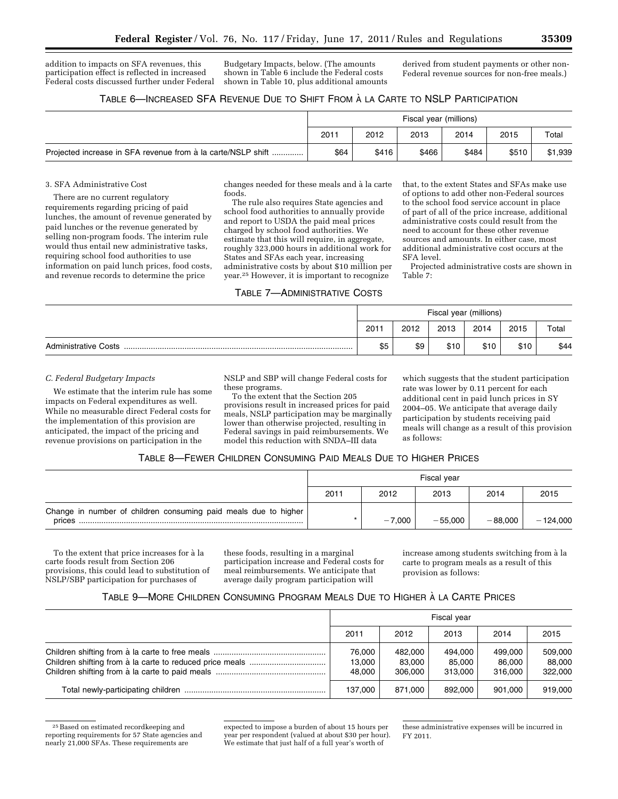addition to impacts on SFA revenues, this participation effect is reflected in increased Federal costs discussed further under Federal

Budgetary Impacts, below. (The amounts shown in Table 6 include the Federal costs shown in Table 10, plus additional amounts derived from student payments or other non-Federal revenue sources for non-free meals.)

| TABLE 6—INCREASED SFA REVENUE DUE TO SHIFT FROM À LA CARTE TO NSLP PARTICIPATION |  |
|----------------------------------------------------------------------------------|--|
|----------------------------------------------------------------------------------|--|

|                                                              | Fiscal year (millions) |       |       |       |       |         |
|--------------------------------------------------------------|------------------------|-------|-------|-------|-------|---------|
|                                                              | 2011                   | 2012  | 2013  | 2014  | 2015  | Total   |
| Projected increase in SFA revenue from à la carte/NSLP shift | \$64                   | \$416 | \$466 | \$484 | \$510 | \$1,939 |

#### 3. SFA Administrative Cost

There are no current regulatory requirements regarding pricing of paid lunches, the amount of revenue generated by paid lunches or the revenue generated by selling non-program foods. The interim rule would thus entail new administrative tasks, requiring school food authorities to use information on paid lunch prices, food costs, and revenue records to determine the price

changes needed for these meals and à la carte foods.

The rule also requires State agencies and school food authorities to annually provide and report to USDA the paid meal prices charged by school food authorities. We estimate that this will require, in aggregate, roughly 323,000 hours in additional work for States and SFAs each year, increasing administrative costs by about \$10 million per year.25 However, it is important to recognize

TABLE 7—ADMINISTRATIVE COSTS

that, to the extent States and SFAs make use of options to add other non-Federal sources to the school food service account in place of part of all of the price increase, additional administrative costs could result from the need to account for these other revenue sources and amounts. In either case, most additional administrative cost occurs at the SFA level.

Projected administrative costs are shown in Table 7:

|                             | Fiscal year (millions) |      |      |      |      |       |
|-----------------------------|------------------------|------|------|------|------|-------|
|                             | 2011                   | 2012 | 2013 | 2014 | 2015 | Total |
| <b>Administrative Costs</b> | \$5                    | \$9  | \$10 | \$10 | \$10 | \$44  |

## *C. Federal Budgetary Impacts*

We estimate that the interim rule has some impacts on Federal expenditures as well. While no measurable direct Federal costs for the implementation of this provision are anticipated, the impact of the pricing and revenue provisions on participation in the

NSLP and SBP will change Federal costs for these programs.

To the extent that the Section 205 provisions result in increased prices for paid meals, NSLP participation may be marginally lower than otherwise projected, resulting in Federal savings in paid reimbursements. We model this reduction with SNDA–III data

which suggests that the student participation rate was lower by 0.11 percent for each additional cent in paid lunch prices in SY 2004–05. We anticipate that average daily participation by students receiving paid meals will change as a result of this provision as follows:

# TABLE 8—FEWER CHILDREN CONSUMING PAID MEALS DUE TO HIGHER PRICES

|                                                                           | Fiscal year |          |           |           |            |  |  |  |
|---------------------------------------------------------------------------|-------------|----------|-----------|-----------|------------|--|--|--|
|                                                                           | 2011        | 2012     | 2013      | 2014      | 2015       |  |  |  |
| Change in number of children consuming paid meals due to higher<br>prices |             | $-7.000$ | $-55.000$ | $-88.000$ | $-124,000$ |  |  |  |

To the extent that price increases for à la carte foods result from Section 206 provisions, this could lead to substitution of NSLP/SBP participation for purchases of

these foods, resulting in a marginal participation increase and Federal costs for meal reimbursements. We anticipate that average daily program participation will

increase among students switching from à la carte to program meals as a result of this provision as follows:

# TABLE 9—MORE CHILDREN CONSUMING PROGRAM MEALS DUE TO HIGHER A` LA CARTE PRICES

| Fiscal year                |                              |                              |                              |                              |  |  |
|----------------------------|------------------------------|------------------------------|------------------------------|------------------------------|--|--|
| 2011                       | 2012                         | 2013                         | 2014                         | 2015                         |  |  |
| 76.000<br>13.000<br>48.000 | 482,000<br>83.000<br>306.000 | 494.000<br>85.000<br>313.000 | 499.000<br>86,000<br>316.000 | 509,000<br>88.000<br>322,000 |  |  |
| 137.000                    | 871.000                      | 892.000                      | 901.000                      | 919.000                      |  |  |

25Based on estimated recordkeeping and reporting requirements for 57 State agencies and nearly 21,000 SFAs. These requirements are

expected to impose a burden of about 15 hours per year per respondent (valued at about \$30 per hour). We estimate that just half of a full year's worth of

these administrative expenses will be incurred in FY 2011.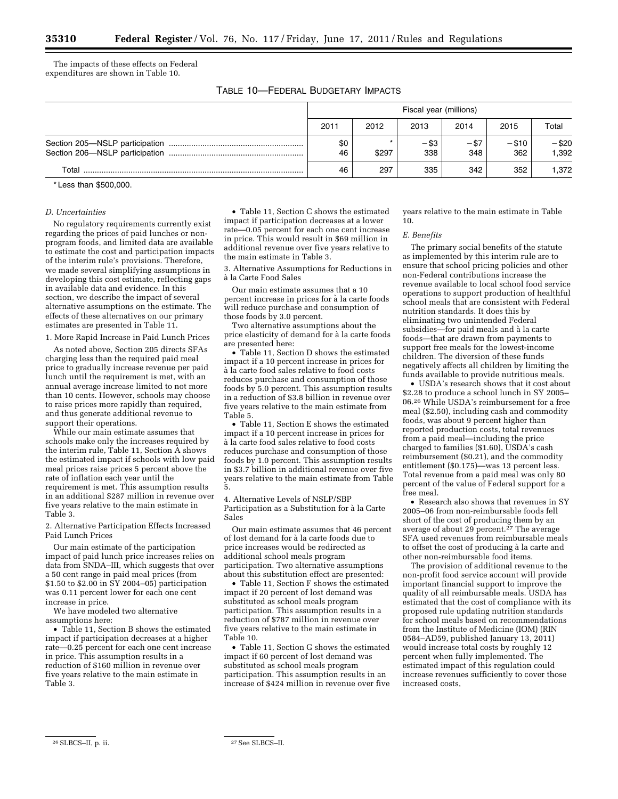The impacts of these effects on Federal expenditures are shown in Table 10.

TABLE 10—FEDERAL BUDGETARY IMPACTS

|       | Fiscal year (millions) |       |                |                |                |                |  |
|-------|------------------------|-------|----------------|----------------|----------------|----------------|--|
|       | 2011                   | 2012  | 2013           | 2014           | 2015           | Total          |  |
|       | \$0<br>46              | \$297 | $-$ \$3<br>338 | $-$ \$7<br>348 | $- $10$<br>362 | -\$20<br>1.392 |  |
| Total | 46                     | 297   | 335            | 342            | 352            | 1.372          |  |

\* Less than \$500,000.

#### *D. Uncertainties*

No regulatory requirements currently exist regarding the prices of paid lunches or nonprogram foods, and limited data are available to estimate the cost and participation impacts of the interim rule's provisions. Therefore, we made several simplifying assumptions in developing this cost estimate, reflecting gaps in available data and evidence. In this section, we describe the impact of several alternative assumptions on the estimate. The effects of these alternatives on our primary estimates are presented in Table 11.

1. More Rapid Increase in Paid Lunch Prices

As noted above, Section 205 directs SFAs charging less than the required paid meal price to gradually increase revenue per paid lunch until the requirement is met, with an annual average increase limited to not more than 10 cents. However, schools may choose to raise prices more rapidly than required, and thus generate additional revenue to support their operations.

While our main estimate assumes that schools make only the increases required by the interim rule, Table 11, Section A shows the estimated impact if schools with low paid meal prices raise prices 5 percent above the rate of inflation each year until the requirement is met. This assumption results in an additional \$287 million in revenue over five years relative to the main estimate in Table 3.

2. Alternative Participation Effects Increased Paid Lunch Prices

Our main estimate of the participation impact of paid lunch price increases relies on data from SNDA–III, which suggests that over a 50 cent range in paid meal prices (from \$1.50 to \$2.00 in  $\overline{SY}$  2004–05) participation was 0.11 percent lower for each one cent increase in price.

We have modeled two alternative assumptions here:

• Table 11, Section B shows the estimated impact if participation decreases at a higher rate—0.25 percent for each one cent increase in price. This assumption results in a reduction of \$160 million in revenue over five years relative to the main estimate in Table 3.

• Table 11, Section C shows the estimated impact if participation decreases at a lower rate—0.05 percent for each one cent increase in price. This would result in \$69 million in additional revenue over five years relative to the main estimate in Table 3.

3. Alternative Assumptions for Reductions in a` la Carte Food Sales

Our main estimate assumes that a 10 percent increase in prices for à la carte foods will reduce purchase and consumption of those foods by 3.0 percent.

Two alternative assumptions about the price elasticity of demand for à la carte foods are presented here:

• Table 11, Section D shows the estimated impact if a 10 percent increase in prices for à la carte food sales relative to food costs reduces purchase and consumption of those foods by 5.0 percent. This assumption results in a reduction of \$3.8 billion in revenue over five years relative to the main estimate from Table 5.

• Table 11, Section E shows the estimated impact if a 10 percent increase in prices for à la carte food sales relative to food costs reduces purchase and consumption of those foods by 1.0 percent. This assumption results in \$3.7 billion in additional revenue over five years relative to the main estimate from Table 5.

4. Alternative Levels of NSLP/SBP Participation as a Substitution for à la Carte Sales

Our main estimate assumes that 46 percent of lost demand for à la carte foods due to price increases would be redirected as additional school meals program participation. Two alternative assumptions about this substitution effect are presented:

• Table 11, Section F shows the estimated impact if 20 percent of lost demand was substituted as school meals program participation. This assumption results in a reduction of \$787 million in revenue over five years relative to the main estimate in Table 10.

• Table 11, Section G shows the estimated impact if 60 percent of lost demand was substituted as school meals program participation. This assumption results in an increase of \$424 million in revenue over five years relative to the main estimate in Table 10.

#### *E. Benefits*

The primary social benefits of the statute as implemented by this interim rule are to ensure that school pricing policies and other non-Federal contributions increase the revenue available to local school food service operations to support production of healthful school meals that are consistent with Federal nutrition standards. It does this by eliminating two unintended Federal subsidies—for paid meals and à la carte foods—that are drawn from payments to support free meals for the lowest-income children. The diversion of these funds negatively affects all children by limiting the funds available to provide nutritious meals.

• USDA's research shows that it cost about \$2.28 to produce a school lunch in SY 2005– 06.26 While USDA's reimbursement for a free meal (\$2.50), including cash and commodity foods, was about 9 percent higher than reported production costs, total revenues from a paid meal—including the price charged to families (\$1.60), USDA's cash reimbursement (\$0.21), and the commodity entitlement (\$0.175)—was 13 percent less. Total revenue from a paid meal was only 80 percent of the value of Federal support for a free meal.

• Research also shows that revenues in SY 2005–06 from non-reimbursable foods fell short of the cost of producing them by an average of about 29 percent.27 The average SFA used revenues from reimbursable meals to offset the cost of producing à la carte and other non-reimbursable food items.

The provision of additional revenue to the non-profit food service account will provide important financial support to improve the quality of all reimbursable meals. USDA has estimated that the cost of compliance with its proposed rule updating nutrition standards for school meals based on recommendations from the Institute of Medicine (IOM) (RIN 0584–AD59, published January 13, 2011) would increase total costs by roughly 12 percent when fully implemented. The estimated impact of this regulation could increase revenues sufficiently to cover those increased costs,

<sup>26</sup>SLBCS–II, p. ii. 27See SLBCS–II.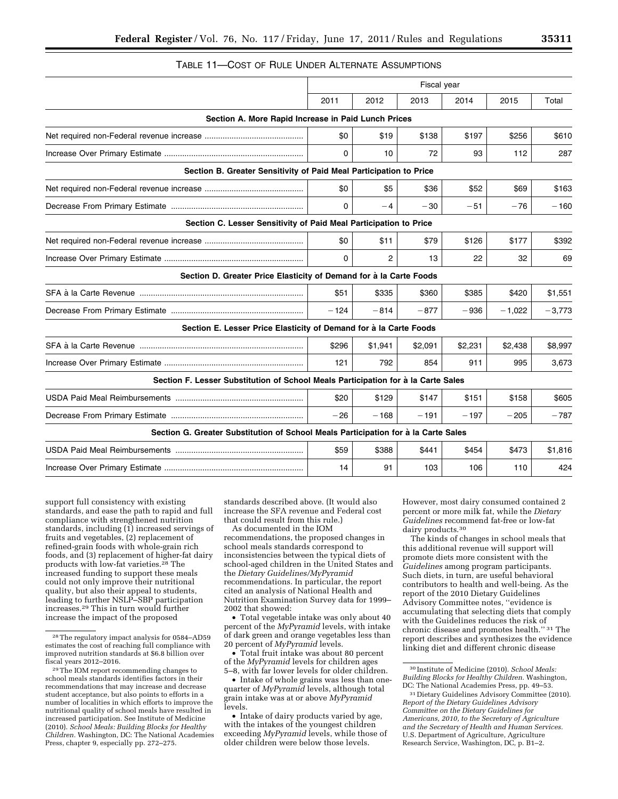# TABLE 11—COST OF RULE UNDER ALTERNATE ASSUMPTIONS

|                                                                                    | Fiscal year  |         |         |         |          |          |
|------------------------------------------------------------------------------------|--------------|---------|---------|---------|----------|----------|
|                                                                                    | 2011         | 2012    | 2013    | 2014    | 2015     | Total    |
| Section A. More Rapid Increase in Paid Lunch Prices                                |              |         |         |         |          |          |
|                                                                                    | \$0          | \$19    | \$138   | \$197   | \$256    | \$610    |
|                                                                                    | $\mathbf{0}$ | 10      | 72      | 93      | 112      | 287      |
| Section B. Greater Sensitivity of Paid Meal Participation to Price                 |              |         |         |         |          |          |
|                                                                                    | \$0          | \$5     | \$36    | \$52    | \$69     | \$163    |
|                                                                                    | $\Omega$     | $-4$    | $-30$   | $-51$   | $-76$    | $-160$   |
| Section C. Lesser Sensitivity of Paid Meal Participation to Price                  |              |         |         |         |          |          |
|                                                                                    | \$0          | \$11    | \$79    | \$126   | \$177    | \$392    |
|                                                                                    | 0            | 2       | 13      | 22      | 32       | 69       |
| Section D. Greater Price Elasticity of Demand for à la Carte Foods                 |              |         |         |         |          |          |
|                                                                                    | \$51         | \$335   | \$360   | \$385   | \$420    | \$1,551  |
|                                                                                    | $-124$       | $-814$  | $-877$  | $-936$  | $-1.022$ | $-3,773$ |
| Section E. Lesser Price Elasticity of Demand for à la Carte Foods                  |              |         |         |         |          |          |
|                                                                                    | \$296        | \$1,941 | \$2,091 | \$2.231 | \$2,438  | \$8,997  |
|                                                                                    | 121          | 792     | 854     | 911     | 995      | 3,673    |
| Section F. Lesser Substitution of School Meals Participation for à la Carte Sales  |              |         |         |         |          |          |
|                                                                                    | \$20         | \$129   | \$147   | \$151   | \$158    | \$605    |
|                                                                                    | $-26$        | $-168$  | $-191$  | $-197$  | $-205$   | $-787$   |
| Section G. Greater Substitution of School Meals Participation for à la Carte Sales |              |         |         |         |          |          |
|                                                                                    | \$59         | \$388   | \$441   | \$454   | \$473    | \$1,816  |

support full consistency with existing standards, and ease the path to rapid and full compliance with strengthened nutrition standards, including (1) increased servings of fruits and vegetables, (2) replacement of refined-grain foods with whole-grain rich foods, and (3) replacement of higher-fat dairy products with low-fat varieties.<sup>28</sup> The increased funding to support these meals could not only improve their nutritional quality, but also their appeal to students, leading to further NSLP–SBP participation increases.29 This in turn would further increase the impact of the proposed

standards described above. (It would also increase the SFA revenue and Federal cost that could result from this rule.)

Increase Over Primary Estimate .............................................................. 14 91 103 106 110 424

As documented in the IOM recommendations, the proposed changes in school meals standards correspond to inconsistencies between the typical diets of school-aged children in the United States and the *Dietary Guidelines/MyPyramid*  recommendations. In particular, the report cited an analysis of National Health and Nutrition Examination Survey data for 1999– 2002 that showed:

• Total vegetable intake was only about 40 percent of the *MyPyramid* levels, with intake of dark green and orange vegetables less than 20 percent of *MyPyramid* levels.

• Total fruit intake was about 80 percent of the *MyPyramid* levels for children ages 5–8, with far lower levels for older children.

• Intake of whole grains was less than onequarter of *MyPyramid* levels, although total grain intake was at or above *MyPyramid*  levels.

• Intake of dairy products varied by age, with the intakes of the youngest children exceeding *MyPyramid* levels, while those of older children were below those levels.

However, most dairy consumed contained 2 percent or more milk fat, while the *Dietary Guidelines* recommend fat-free or low-fat dairy products.30

The kinds of changes in school meals that this additional revenue will support will promote diets more consistent with the *Guidelines* among program participants. Such diets, in turn, are useful behavioral contributors to health and well-being. As the report of the 2010 Dietary Guidelines Advisory Committee notes, ''evidence is accumulating that selecting diets that comply with the Guidelines reduces the risk of chronic disease and promotes health.'' 31 The report describes and synthesizes the evidence linking diet and different chronic disease

<sup>28</sup>The regulatory impact analysis for 0584–AD59 estimates the cost of reaching full compliance with improved nutrition standards at \$6.8 billion over fiscal years 2012–2016.

<sup>29</sup>The IOM report recommending changes to school meals standards identifies factors in their recommendations that may increase and decrease student acceptance, but also points to efforts in a number of localities in which efforts to improve the nutritional quality of school meals have resulted in increased participation. See Institute of Medicine (2010). *School Meals: Building Blocks for Healthy Children.* Washington, DC: The National Academies Press, chapter 9, especially pp. 272–275.

<sup>30</sup> Institute of Medicine (2010). *School Meals: Building Blocks for Healthy Children.* Washington, DC: The National Academies Press, pp. 49–53.

<sup>31</sup> Dietary Guidelines Advisory Committee (2010). *Report of the Dietary Guidelines Advisory Committee on the Dietary Guidelines for Americans, 2010, to the Secretary of Agriculture and the Secretary of Health and Human Services.*  U.S. Department of Agriculture, Agriculture Research Service, Washington, DC, p. B1–2.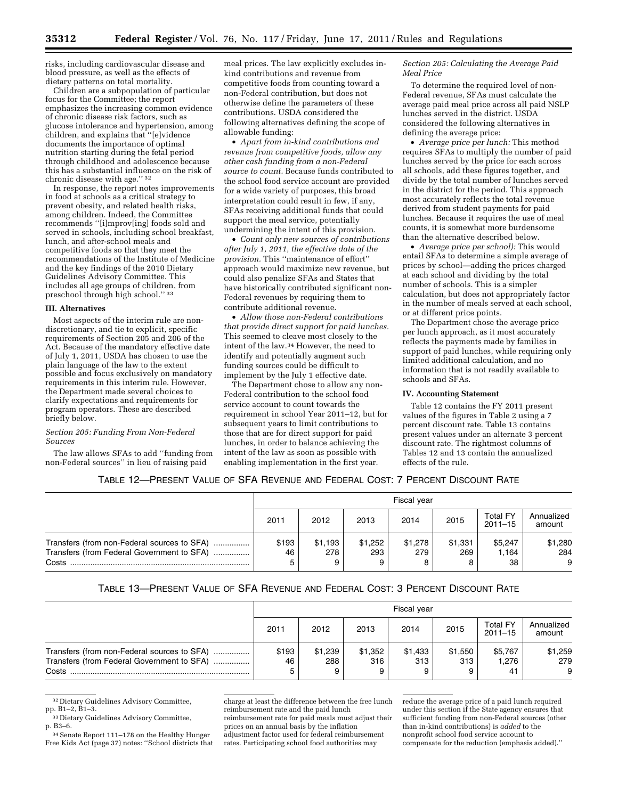risks, including cardiovascular disease and blood pressure, as well as the effects of dietary patterns on total mortality.

Children are a subpopulation of particular focus for the Committee; the report emphasizes the increasing common evidence of chronic disease risk factors, such as glucose intolerance and hypertension, among children, and explains that ''[e]vidence documents the importance of optimal nutrition starting during the fetal period through childhood and adolescence because this has a substantial influence on the risk of chronic disease with age.'' 32

In response, the report notes improvements in food at schools as a critical strategy to prevent obesity, and related health risks, among children. Indeed, the Committee recommends ''[i]mprov[ing] foods sold and served in schools, including school breakfast, lunch, and after-school meals and competitive foods so that they meet the recommendations of the Institute of Medicine and the key findings of the 2010 Dietary Guidelines Advisory Committee. This includes all age groups of children, from preschool through high school.'' 33

#### **III. Alternatives**

Most aspects of the interim rule are nondiscretionary, and tie to explicit, specific requirements of Section 205 and 206 of the Act. Because of the mandatory effective date of July 1, 2011, USDA has chosen to use the plain language of the law to the extent possible and focus exclusively on mandatory requirements in this interim rule. However, the Department made several choices to clarify expectations and requirements for program operators. These are described briefly below.

#### *Section 205: Funding From Non-Federal Sources*

The law allows SFAs to add ''funding from non-Federal sources'' in lieu of raising paid

meal prices. The law explicitly excludes inkind contributions and revenue from competitive foods from counting toward a non-Federal contribution, but does not otherwise define the parameters of these contributions. USDA considered the following alternatives defining the scope of allowable funding:

• *Apart from in-kind contributions and revenue from competitive foods, allow any other cash funding from a non-Federal source to count.* Because funds contributed to the school food service account are provided for a wide variety of purposes, this broad interpretation could result in few, if any, SFAs receiving additional funds that could support the meal service, potentially undermining the intent of this provision.

• *Count only new sources of contributions after July 1, 2011, the effective date of the provision.* This ''maintenance of effort'' approach would maximize new revenue, but could also penalize SFAs and States that have historically contributed significant non-Federal revenues by requiring them to contribute additional revenue.

• *Allow those non-Federal contributions that provide direct support for paid lunches.*  This seemed to cleave most closely to the intent of the law.34 However, the need to identify and potentially augment such funding sources could be difficult to implement by the July 1 effective date.

The Department chose to allow any non-Federal contribution to the school food service account to count towards the requirement in school Year 2011–12, but for subsequent years to limit contributions to those that are for direct support for paid lunches, in order to balance achieving the intent of the law as soon as possible with enabling implementation in the first year.

*Section 205: Calculating the Average Paid Meal Price* 

To determine the required level of non-Federal revenue, SFAs must calculate the average paid meal price across all paid NSLP lunches served in the district. USDA considered the following alternatives in defining the average price:

• *Average price per lunch:* This method requires SFAs to multiply the number of paid lunches served by the price for each across all schools, add these figures together, and divide by the total number of lunches served in the district for the period. This approach most accurately reflects the total revenue derived from student payments for paid lunches. Because it requires the use of meal counts, it is somewhat more burdensome than the alternative described below.

• *Average price per school):* This would entail SFAs to determine a simple average of prices by school—adding the prices charged at each school and dividing by the total number of schools. This is a simpler calculation, but does not appropriately factor in the number of meals served at each school, or at different price points.

The Department chose the average price per lunch approach, as it most accurately reflects the payments made by families in support of paid lunches, while requiring only limited additional calculation, and no information that is not readily available to schools and SFAs.

#### **IV. Accounting Statement**

Table 12 contains the FY 2011 present values of the figures in Table 2 using a 7 percent discount rate. Table 13 contains present values under an alternate 3 percent discount rate. The rightmost columns of Tables 12 and 13 contain the annualized effects of the rule.

# TABLE 12—PRESENT VALUE OF SFA REVENUE AND FEDERAL COST: 7 PERCENT DISCOUNT RATE

|                                                                                                    | Fiscal year |                     |                |                |                     |                                |                      |
|----------------------------------------------------------------------------------------------------|-------------|---------------------|----------------|----------------|---------------------|--------------------------------|----------------------|
|                                                                                                    | 2011        | 2012                | 2013           | 2014           | 2015                | <b>Total FY</b><br>$2011 - 15$ | Annualized<br>amount |
| Transfers (from non-Federal sources to SFA)<br>Transfers (from Federal Government to SFA)<br>Costs | \$193<br>46 | \$1,193<br>278<br>9 | \$1.252<br>293 | \$1,278<br>279 | \$1.331<br>269<br>8 | \$5,247<br>1.164<br>38         | \$1,280<br>284<br>9  |

# TABLE 13—PRESENT VALUE OF SFA REVENUE AND FEDERAL COST: 3 PERCENT DISCOUNT RATE

|                                                                                                    | Fiscal year |                     |                |                |                     |                                |                      |
|----------------------------------------------------------------------------------------------------|-------------|---------------------|----------------|----------------|---------------------|--------------------------------|----------------------|
|                                                                                                    | 2011        | 2012                | 2013           | 2014           | 2015                | <b>Total FY</b><br>$2011 - 15$ | Annualized<br>amount |
| Transfers (from non-Federal sources to SFA)<br>Transfers (from Federal Government to SFA)<br>Costs | \$193<br>46 | \$1,239<br>288<br>9 | \$1.352<br>316 | \$1.433<br>313 | \$1,550<br>313<br>9 | \$5,767<br>1.276<br>-41        | \$1,259<br>279<br>9  |

32 Dietary Guidelines Advisory Committee, pp. B1–2, B1–3.

33 Dietary Guidelines Advisory Committee, p. B3–6.

34Senate Report 111–178 on the Healthy Hunger Free Kids Act (page 37) notes: ''School districts that

charge at least the difference between the free lunch reimbursement rate and the paid lunch reimbursement rate for paid meals must adjust their prices on an annual basis by the inflation adjustment factor used for federal reimbursement rates. Participating school food authorities may

reduce the average price of a paid lunch required under this section if the State agency ensures that sufficient funding from non-Federal sources (other than in-kind contributions) is *added* to the nonprofit school food service account to compensate for the reduction (emphasis added).''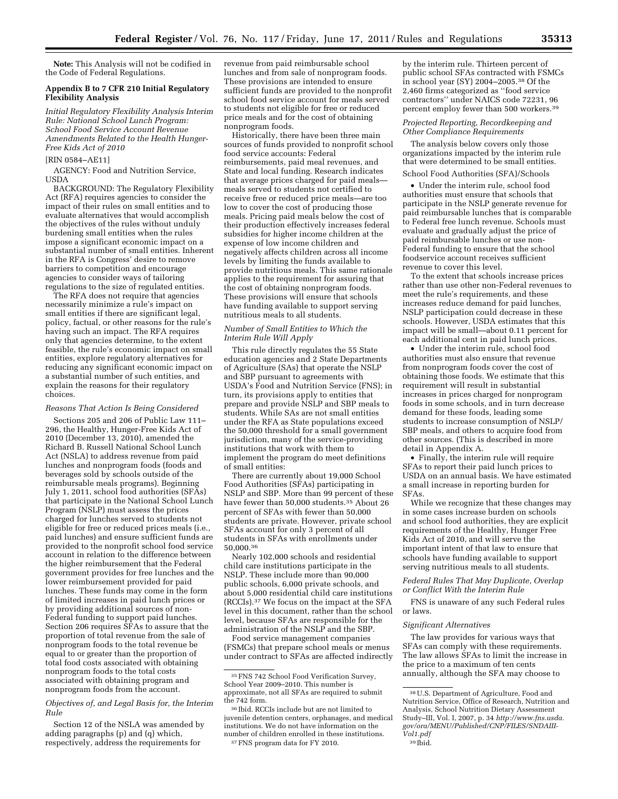**Note:** This Analysis will not be codified in the Code of Federal Regulations.

#### **Appendix B to 7 CFR 210 Initial Regulatory Flexibility Analysis**

*Initial Regulatory Flexibility Analysis Interim Rule: National School Lunch Program: School Food Service Account Revenue Amendments Related to the Health Hunger-Free Kids Act of 2010* 

## [RIN 0584–AE11]

AGENCY: Food and Nutrition Service, **USDA** 

BACKGROUND: The Regulatory Flexibility Act (RFA) requires agencies to consider the impact of their rules on small entities and to evaluate alternatives that would accomplish the objectives of the rules without unduly burdening small entities when the rules impose a significant economic impact on a substantial number of small entities. Inherent in the RFA is Congress' desire to remove barriers to competition and encourage agencies to consider ways of tailoring regulations to the size of regulated entities.

The RFA does not require that agencies necessarily minimize a rule's impact on small entities if there are significant legal, policy, factual, or other reasons for the rule's having such an impact. The RFA requires only that agencies determine, to the extent feasible, the rule's economic impact on small entities, explore regulatory alternatives for reducing any significant economic impact on a substantial number of such entities, and explain the reasons for their regulatory choices.

## *Reasons That Action Is Being Considered*

Sections 205 and 206 of Public Law 111– 296, the Healthy, Hunger-Free Kids Act of 2010 (December 13, 2010), amended the Richard B. Russell National School Lunch Act (NSLA) to address revenue from paid lunches and nonprogram foods (foods and beverages sold by schools outside of the reimbursable meals programs). Beginning July 1, 2011, school food authorities (SFAs) that participate in the National School Lunch Program (NSLP) must assess the prices charged for lunches served to students not eligible for free or reduced prices meals (i.e., paid lunches) and ensure sufficient funds are provided to the nonprofit school food service account in relation to the difference between the higher reimbursement that the Federal government provides for free lunches and the lower reimbursement provided for paid lunches. These funds may come in the form of limited increases in paid lunch prices or by providing additional sources of non-Federal funding to support paid lunches. Section 206 requires SFAs to assure that the proportion of total revenue from the sale of nonprogram foods to the total revenue be equal to or greater than the proportion of total food costs associated with obtaining nonprogram foods to the total costs associated with obtaining program and nonprogram foods from the account.

#### *Objectives of, and Legal Basis for, the Interim Rule*

Section 12 of the NSLA was amended by adding paragraphs (p) and (q) which, respectively, address the requirements for

revenue from paid reimbursable school lunches and from sale of nonprogram foods. These provisions are intended to ensure sufficient funds are provided to the nonprofit school food service account for meals served to students not eligible for free or reduced price meals and for the cost of obtaining nonprogram foods.

Historically, there have been three main sources of funds provided to nonprofit school food service accounts: Federal reimbursements, paid meal revenues, and State and local funding. Research indicates that average prices charged for paid meals meals served to students not certified to receive free or reduced price meals—are too low to cover the cost of producing those meals. Pricing paid meals below the cost of their production effectively increases federal subsidies for higher income children at the expense of low income children and negatively affects children across all income levels by limiting the funds available to provide nutritious meals. This same rationale applies to the requirement for assuring that the cost of obtaining nonprogram foods. These provisions will ensure that schools have funding available to support serving nutritious meals to all students.

#### *Number of Small Entities to Which the Interim Rule Will Apply*

This rule directly regulates the 55 State education agencies and 2 State Departments of Agriculture (SAs) that operate the NSLP and SBP pursuant to agreements with USDA's Food and Nutrition Service (FNS); in turn, its provisions apply to entities that prepare and provide NSLP and SBP meals to students. While SAs are not small entities under the RFA as State populations exceed the 50,000 threshold for a small government jurisdiction, many of the service-providing institutions that work with them to implement the program do meet definitions of small entities:

There are currently about 19,000 School Food Authorities (SFAs) participating in NSLP and SBP. More than 99 percent of these have fewer than 50,000 students.<sup>35</sup> About 26 percent of SFAs with fewer than 50,000 students are private. However, private school SFAs account for only 3 percent of all students in SFAs with enrollments under 50,000.36

Nearly 102,000 schools and residential child care institutions participate in the NSLP. These include more than 90,000 public schools, 6,000 private schools, and about 5,000 residential child care institutions (RCCIs).37 We focus on the impact at the SFA level in this document, rather than the school level, because SFAs are responsible for the administration of the NSLP and the SBP.

Food service management companies (FSMCs) that prepare school meals or menus under contract to SFAs are affected indirectly

by the interim rule. Thirteen percent of public school SFAs contracted with FSMCs in school year (SY) 2004–2005.38 Of the 2,460 firms categorized as ''food service contractors'' under NAICS code 72231, 96 percent employ fewer than 500 workers.39

#### *Projected Reporting, Recordkeeping and Other Compliance Requirements*

The analysis below covers only those organizations impacted by the interim rule that were determined to be small entities.

# School Food Authorities (SFA)/Schools

• Under the interim rule, school food authorities must ensure that schools that participate in the NSLP generate revenue for paid reimbursable lunches that is comparable to Federal free lunch revenue. Schools must evaluate and gradually adjust the price of paid reimbursable lunches or use non-Federal funding to ensure that the school foodservice account receives sufficient revenue to cover this level.

To the extent that schools increase prices rather than use other non-Federal revenues to meet the rule's requirements, and these increases reduce demand for paid lunches, NSLP participation could decrease in these schools. However, USDA estimates that this impact will be small—about 0.11 percent for each additional cent in paid lunch prices.

• Under the interim rule, school food authorities must also ensure that revenue from nonprogram foods cover the cost of obtaining those foods. We estimate that this requirement will result in substantial increases in prices charged for nonprogram foods in some schools, and in turn decrease demand for these foods, leading some students to increase consumption of NSLP/ SBP meals, and others to acquire food from other sources. (This is described in more detail in Appendix A.

• Finally, the interim rule will require SFAs to report their paid lunch prices to USDA on an annual basis. We have estimated a small increase in reporting burden for SFAs.

While we recognize that these changes may in some cases increase burden on schools and school food authorities, they are explicit requirements of the Healthy, Hunger Free Kids Act of 2010, and will serve the important intent of that law to ensure that schools have funding available to support serving nutritious meals to all students.

#### *Federal Rules That May Duplicate, Overlap or Conflict With the Interim Rule*

FNS is unaware of any such Federal rules or laws.

#### *Significant Alternatives*

The law provides for various ways that SFAs can comply with these requirements. The law allows SFAs to limit the increase in the price to a maximum of ten cents annually, although the SFA may choose to

<sup>35</sup>FNS 742 School Food Verification Survey, School Year 2009–2010. This number is approximate, not all SFAs are required to submit the 742 form.

<sup>36</sup> Ibid. RCCIs include but are not limited to juvenile detention centers, orphanages, and medical institutions. We do not have information on the number of children enrolled in these institutions. 37FNS program data for FY 2010.

<sup>38</sup>U.S. Department of Agriculture, Food and Nutrition Service, Office of Research, Nutrition and Analysis, School Nutrition Dietary Assessment Study–III, Vol. I, 2007, p. 34 *[http://www.fns.usda.](http://www.fns.usda.gov/ora/MENU/Published/CNP/FILES/SNDAIII-Vol1.pdf) [gov/ora/MENU/Published/CNP/FILES/SNDAIII-](http://www.fns.usda.gov/ora/MENU/Published/CNP/FILES/SNDAIII-Vol1.pdf)[Vol1.pdf](http://www.fns.usda.gov/ora/MENU/Published/CNP/FILES/SNDAIII-Vol1.pdf)*  39 Ibid.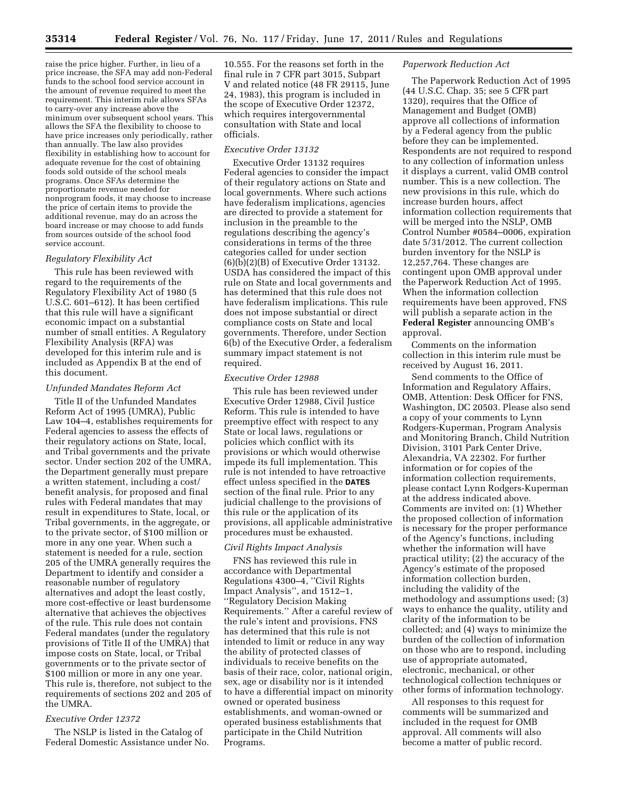raise the price higher. Further, in lieu of a price increase, the SFA may add non-Federal funds to the school food service account in the amount of revenue required to meet the requirement. This interim rule allows SFAs to carry-over any increase above the minimum over subsequent school years. This allows the SFA the flexibility to choose to have price increases only periodically, rather than annually. The law also provides flexibility in establishing how to account for adequate revenue for the cost of obtaining foods sold outside of the school meals programs. Once SFAs determine the proportionate revenue needed for nonprogram foods, it may choose to increase the price of certain items to provide the additional revenue, may do an across the board increase or may choose to add funds from sources outside of the school food service account.

#### *Regulatory Flexibility Act*

This rule has been reviewed with regard to the requirements of the Regulatory Flexibility Act of 1980 (5 U.S.C. 601–612). It has been certified that this rule will have a significant economic impact on a substantial number of small entities. A Regulatory Flexibility Analysis (RFA) was developed for this interim rule and is included as Appendix B at the end of this document.

#### *Unfunded Mandates Reform Act*

Title II of the Unfunded Mandates Reform Act of 1995 (UMRA), Public Law 104–4, establishes requirements for Federal agencies to assess the effects of their regulatory actions on State, local, and Tribal governments and the private sector. Under section 202 of the UMRA, the Department generally must prepare a written statement, including a cost/ benefit analysis, for proposed and final rules with Federal mandates that may result in expenditures to State, local, or Tribal governments, in the aggregate, or to the private sector, of \$100 million or more in any one year. When such a statement is needed for a rule, section 205 of the UMRA generally requires the Department to identify and consider a reasonable number of regulatory alternatives and adopt the least costly, more cost-effective or least burdensome alternative that achieves the objectives of the rule. This rule does not contain Federal mandates (under the regulatory provisions of Title II of the UMRA) that impose costs on State, local, or Tribal governments or to the private sector of \$100 million or more in any one year. This rule is, therefore, not subject to the requirements of sections 202 and 205 of the UMRA.

#### *Executive Order 12372*

The NSLP is listed in the Catalog of Federal Domestic Assistance under No. 10.555. For the reasons set forth in the final rule in 7 CFR part 3015, Subpart V and related notice (48 FR 29115, June 24, 1983), this program is included in the scope of Executive Order 12372, which requires intergovernmental consultation with State and local officials.

## *Executive Order 13132*

Executive Order 13132 requires Federal agencies to consider the impact of their regulatory actions on State and local governments. Where such actions have federalism implications, agencies are directed to provide a statement for inclusion in the preamble to the regulations describing the agency's considerations in terms of the three categories called for under section (6)(b)(2)(B) of Executive Order 13132. USDA has considered the impact of this rule on State and local governments and has determined that this rule does not have federalism implications. This rule does not impose substantial or direct compliance costs on State and local governments. Therefore, under Section 6(b) of the Executive Order, a federalism summary impact statement is not required.

#### *Executive Order 12988*

This rule has been reviewed under Executive Order 12988, Civil Justice Reform. This rule is intended to have preemptive effect with respect to any State or local laws, regulations or policies which conflict with its provisions or which would otherwise impede its full implementation. This rule is not intended to have retroactive effect unless specified in the **DATES** section of the final rule. Prior to any judicial challenge to the provisions of this rule or the application of its provisions, all applicable administrative procedures must be exhausted.

#### *Civil Rights Impact Analysis*

FNS has reviewed this rule in accordance with Departmental Regulations 4300–4, ''Civil Rights Impact Analysis'', and 1512–1, ''Regulatory Decision Making Requirements.'' After a careful review of the rule's intent and provisions, FNS has determined that this rule is not intended to limit or reduce in any way the ability of protected classes of individuals to receive benefits on the basis of their race, color, national origin, sex, age or disability nor is it intended to have a differential impact on minority owned or operated business establishments, and woman-owned or operated business establishments that participate in the Child Nutrition Programs.

## *Paperwork Reduction Act*

The Paperwork Reduction Act of 1995 (44 U.S.C. Chap. 35; see 5 CFR part 1320), requires that the Office of Management and Budget (OMB) approve all collections of information by a Federal agency from the public before they can be implemented. Respondents are not required to respond to any collection of information unless it displays a current, valid OMB control number. This is a new collection. The new provisions in this rule, which do increase burden hours, affect information collection requirements that will be merged into the NSLP, OMB Control Number #0584–0006, expiration date 5/31/2012. The current collection burden inventory for the NSLP is 12,257,764. These changes are contingent upon OMB approval under the Paperwork Reduction Act of 1995. When the information collection requirements have been approved, FNS will publish a separate action in the **Federal Register** announcing OMB's approval.

Comments on the information collection in this interim rule must be received by August 16, 2011.

Send comments to the Office of Information and Regulatory Affairs, OMB, Attention: Desk Officer for FNS, Washington, DC 20503. Please also send a copy of your comments to Lynn Rodgers-Kuperman, Program Analysis and Monitoring Branch, Child Nutrition Division, 3101 Park Center Drive, Alexandria, VA 22302. For further information or for copies of the information collection requirements, please contact Lynn Rodgers-Kuperman at the address indicated above. Comments are invited on: (1) Whether the proposed collection of information is necessary for the proper performance of the Agency's functions, including whether the information will have practical utility; (2) the accuracy of the Agency's estimate of the proposed information collection burden, including the validity of the methodology and assumptions used; (3) ways to enhance the quality, utility and clarity of the information to be collected; and (4) ways to minimize the burden of the collection of information on those who are to respond, including use of appropriate automated, electronic, mechanical, or other technological collection techniques or other forms of information technology.

All responses to this request for comments will be summarized and included in the request for OMB approval. All comments will also become a matter of public record.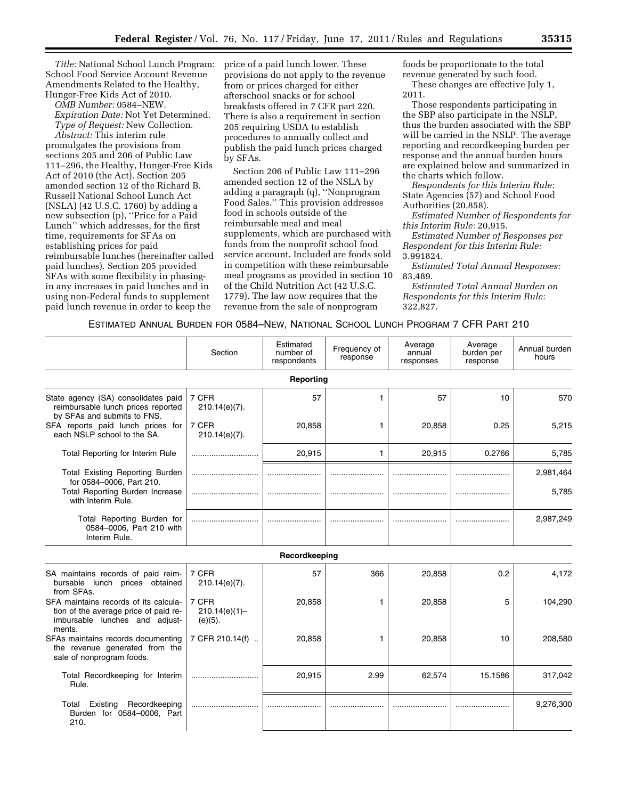*Title:* National School Lunch Program: School Food Service Account Revenue Amendments Related to the Healthy, Hunger-Free Kids Act of 2010.

*OMB Number:* 0584–NEW.

*Expiration Date:* Not Yet Determined. *Type of Request:* New Collection.

*Abstract:* This interim rule promulgates the provisions from sections 205 and 206 of Public Law 111–296, the Healthy, Hunger-Free Kids Act of 2010 (the Act). Section 205 amended section 12 of the Richard B. Russell National School Lunch Act (NSLA) (42 U.S.C. 1760) by adding a new subsection (p), ''Price for a Paid Lunch'' which addresses, for the first time, requirements for SFAs on establishing prices for paid reimbursable lunches (hereinafter called paid lunches). Section 205 provided SFAs with some flexibility in phasingin any increases in paid lunches and in using non-Federal funds to supplement paid lunch revenue in order to keep the

price of a paid lunch lower. These provisions do not apply to the revenue from or prices charged for either afterschool snacks or for school breakfasts offered in 7 CFR part 220. There is also a requirement in section 205 requiring USDA to establish procedures to annually collect and publish the paid lunch prices charged by SFAs.

Section 206 of Public Law 111–296 amended section 12 of the NSLA by adding a paragraph (q), ''Nonprogram Food Sales.'' This provision addresses food in schools outside of the reimbursable meal and meal supplements, which are purchased with funds from the nonprofit school food service account. Included are foods sold in competition with these reimbursable meal programs as provided in section 10 of the Child Nutrition Act (42 U.S.C. 1779). The law now requires that the revenue from the sale of nonprogram

foods be proportionate to the total revenue generated by such food. These changes are effective July 1, 2011.

Those respondents participating in the SBP also participate in the NSLP, thus the burden associated with the SBP will be carried in the NSLP. The average reporting and recordkeeping burden per response and the annual burden hours are explained below and summarized in the charts which follow.

*Respondents for this Interim Rule:*  State Agencies (57) and School Food Authorities (20,858).

*Estimated Number of Respondents for this Interim Rule:* 20,915.

*Estimated Number of Responses per Respondent for this Interim Rule:*  3.991824.

*Estimated Total Annual Responses:*  83,489.

*Estimated Total Annual Burden on Respondents for this Interim Rule:*  322,827.

## ESTIMATED ANNUAL BURDEN FOR 0584–NEW, NATIONAL SCHOOL LUNCH PROGRAM 7 CFR PART 210

|                                                                                                                            | Section                                 | Estimated<br>number of<br>respondents | Frequency of<br>response | Average<br>annual<br>responses | Average<br>burden per<br>response | Annual burden<br>hours |
|----------------------------------------------------------------------------------------------------------------------------|-----------------------------------------|---------------------------------------|--------------------------|--------------------------------|-----------------------------------|------------------------|
|                                                                                                                            |                                         | Reporting                             |                          |                                |                                   |                        |
| State agency (SA) consolidates paid<br>reimbursable lunch prices reported<br>by SFAs and submits to FNS.                   | 7 CFR<br>$210.14(e)(7)$ .               | 57                                    | 1                        | 57                             | 10                                | 570                    |
| SFA reports paid lunch prices for<br>each NSLP school to the SA.                                                           | 7 CFR<br>210.14(e)(7).                  | 20,858                                | 1                        | 20,858                         | 0.25                              | 5,215                  |
| Total Reporting for Interim Rule                                                                                           |                                         | 20,915                                | 1                        | 20,915                         | 0.2766                            | 5,785                  |
| <b>Total Existing Reporting Burden</b><br>for 0584-0006. Part 210.                                                         |                                         |                                       |                          |                                |                                   | 2,981,464              |
| Total Reporting Burden Increase<br>with Interim Rule.                                                                      |                                         |                                       |                          |                                |                                   | 5,785                  |
| Total Reporting Burden for<br>0584-0006, Part 210 with<br>Interim Rule.                                                    |                                         |                                       |                          |                                |                                   | 2,987,249              |
|                                                                                                                            |                                         | Recordkeeping                         |                          |                                |                                   |                        |
| SA maintains records of paid reim-<br>bursable lunch<br>prices obtained<br>from SFAs.                                      | 7 CFR<br>$210.14(e)(7)$ .               | 57                                    | 366                      | 20,858                         | 0.2                               | 4,172                  |
| SFA maintains records of its calcula-<br>tion of the average price of paid re-<br>imbursable lunches and adjust-<br>ments. | 7 CFR<br>$210.14(e)(1) -$<br>$(e)(5)$ . | 20,858                                | 1                        | 20,858                         | 5                                 | 104,290                |
| SFAs maintains records documenting<br>the revenue generated from the<br>sale of nonprogram foods.                          | 7 CFR 210.14(f)                         | 20,858                                | 1                        | 20,858                         | 10                                | 208,580                |
| Total Recordkeeping for Interim<br>Rule.                                                                                   |                                         | 20,915                                | 2.99                     | 62,574                         | 15.1586                           | 317,042                |
| Recordkeeping<br>Total<br>Existing<br>Burden for 0584-0006, Part<br>210.                                                   |                                         |                                       |                          |                                |                                   | 9,276,300              |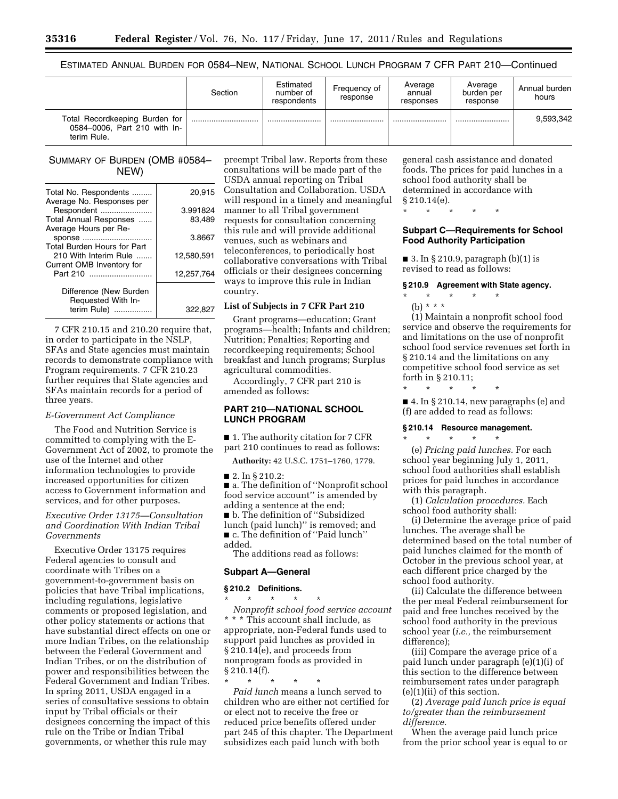ESTIMATED ANNUAL BURDEN FOR 0584–NEW, NATIONAL SCHOOL LUNCH PROGRAM 7 CFR PART 210—Continued

|                                                                               | Section | Estimated<br>number of<br>respondents | Frequency of<br>response | Average<br>annual<br>responses | Average<br>burden per<br>response | Annual burden<br>hours |
|-------------------------------------------------------------------------------|---------|---------------------------------------|--------------------------|--------------------------------|-----------------------------------|------------------------|
| Total Recordkeeping Burden for<br>0584-0006, Part 210 with In-<br>terim Rule. |         |                                       |                          |                                |                                   | 9,593,342              |

## SUMMARY OF BURDEN (OMB #0584– NEW)

| Total No. Respondents<br>Average No. Responses per | 20,915     |
|----------------------------------------------------|------------|
| Respondent                                         | 3.991824   |
| Total Annual Responses<br>Average Hours per Re-    | 83,489     |
| sponse<br><b>Total Burden Hours for Part</b>       | 3.8667     |
| 210 With Interim Rule<br>Current OMB Inventory for | 12.580.591 |
| Part 210                                           | 12.257.764 |
| Difference (New Burden<br>Requested With In-       |            |
| terim Rule)                                        | 322,82     |

7 CFR 210.15 and 210.20 require that, in order to participate in the NSLP, SFAs and State agencies must maintain records to demonstrate compliance with Program requirements. 7 CFR 210.23 further requires that State agencies and SFAs maintain records for a period of three years.

#### *E-Government Act Compliance*

The Food and Nutrition Service is committed to complying with the E-Government Act of 2002, to promote the use of the Internet and other information technologies to provide increased opportunities for citizen access to Government information and services, and for other purposes.

## *Executive Order 13175—Consultation and Coordination With Indian Tribal Governments*

Executive Order 13175 requires Federal agencies to consult and coordinate with Tribes on a government-to-government basis on policies that have Tribal implications, including regulations, legislative comments or proposed legislation, and other policy statements or actions that have substantial direct effects on one or more Indian Tribes, on the relationship between the Federal Government and Indian Tribes, or on the distribution of power and responsibilities between the Federal Government and Indian Tribes. In spring 2011, USDA engaged in a series of consultative sessions to obtain input by Tribal officials or their designees concerning the impact of this rule on the Tribe or Indian Tribal governments, or whether this rule may

preempt Tribal law. Reports from these consultations will be made part of the USDA annual reporting on Tribal Consultation and Collaboration. USDA will respond in a timely and meaningful manner to all Tribal government requests for consultation concerning this rule and will provide additional venues, such as webinars and teleconferences, to periodically host collaborative conversations with Tribal officials or their designees concerning ways to improve this rule in Indian country.

## **List of Subjects in 7 CFR Part 210**

Grant programs—education; Grant programs—health; Infants and children; Nutrition; Penalties; Reporting and recordkeeping requirements; School breakfast and lunch programs; Surplus agricultural commodities.

Accordingly, 7 CFR part 210 is amended as follows:

# **PART 210—NATIONAL SCHOOL LUNCH PROGRAM**

■ 1. The authority citation for 7 CFR part 210 continues to read as follows:

**Authority:** 42 U.S.C. 1751–1760, 1779.

#### ■ 2. In § 210.2:

■ a. The definition of "Nonprofit school food service account'' is amended by adding a sentence at the end; ■ b. The definition of "Subsidized lunch (paid lunch)'' is removed; and ■ c. The definition of "Paid lunch" added.

The additions read as follows:

#### **Subpart A—General**

#### **§ 210.2 Definitions.**

\* \* \* \* \* *Nonprofit school food service account*  \* \* \* This account shall include, as appropriate, non-Federal funds used to support paid lunches as provided in § 210.14(e), and proceeds from nonprogram foods as provided in § 210.14(f).

\* \* \* \* \* *Paid lunch* means a lunch served to children who are either not certified for or elect not to receive the free or reduced price benefits offered under part 245 of this chapter. The Department subsidizes each paid lunch with both

general cash assistance and donated foods. The prices for paid lunches in a school food authority shall be determined in accordance with § 210.14(e).

\* \* \* \* \*

## **Subpart C—Requirements for School Food Authority Participation**

■ 3. In § 210.9, paragraph (b)(1) is revised to read as follows:

# **§ 210.9 Agreement with State agency.**

- \* \* \* \* \*
- (b) \* \* \*

(1) Maintain a nonprofit school food service and observe the requirements for and limitations on the use of nonprofit school food service revenues set forth in § 210.14 and the limitations on any competitive school food service as set forth in § 210.11;

 $\blacksquare$  4. In § 210.14, new paragraphs (e) and (f) are added to read as follows:

#### **§ 210.14 Resource management.**

\* \* \* \* \*

\* \* \* \* \* (e) *Pricing paid lunches.* For each school year beginning July 1, 2011, school food authorities shall establish prices for paid lunches in accordance with this paragraph.

(1) *Calculation procedures.* Each school food authority shall:

(i) Determine the average price of paid lunches. The average shall be determined based on the total number of paid lunches claimed for the month of October in the previous school year, at each different price charged by the school food authority.

(ii) Calculate the difference between the per meal Federal reimbursement for paid and free lunches received by the school food authority in the previous school year (*i.e.,* the reimbursement difference);

(iii) Compare the average price of a paid lunch under paragraph (e)(1)(i) of this section to the difference between reimbursement rates under paragraph (e)(1)(ii) of this section.

(2) *Average paid lunch price is equal to/greater than the reimbursement difference.* 

When the average paid lunch price from the prior school year is equal to or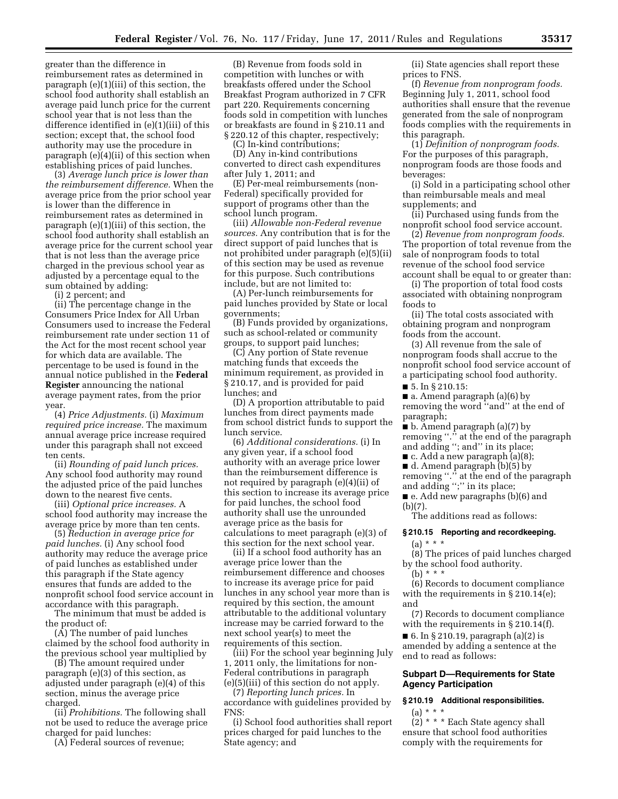greater than the difference in reimbursement rates as determined in paragraph (e)(1)(iii) of this section, the school food authority shall establish an average paid lunch price for the current school year that is not less than the difference identified in (e)(1)(iii) of this section; except that, the school food authority may use the procedure in paragraph (e)(4)(ii) of this section when establishing prices of paid lunches.

(3) *Average lunch price is lower than the reimbursement difference.* When the average price from the prior school year is lower than the difference in reimbursement rates as determined in paragraph (e)(1)(iii) of this section, the school food authority shall establish an average price for the current school year that is not less than the average price charged in the previous school year as adjusted by a percentage equal to the sum obtained by adding:

(i) 2 percent; and

(ii) The percentage change in the Consumers Price Index for All Urban Consumers used to increase the Federal reimbursement rate under section 11 of the Act for the most recent school year for which data are available. The percentage to be used is found in the annual notice published in the **Federal Register** announcing the national average payment rates, from the prior year.

(4) *Price Adjustments.* (i) *Maximum required price increase.* The maximum annual average price increase required under this paragraph shall not exceed ten cents.

(ii) *Rounding of paid lunch prices.*  Any school food authority may round the adjusted price of the paid lunches down to the nearest five cents.

(iii) *Optional price increases.* A school food authority may increase the average price by more than ten cents.

(5) *Reduction in average price for paid lunches.* (i) Any school food authority may reduce the average price of paid lunches as established under this paragraph if the State agency ensures that funds are added to the nonprofit school food service account in accordance with this paragraph.

The minimum that must be added is the product of:

(A) The number of paid lunches claimed by the school food authority in the previous school year multiplied by

(B) The amount required under paragraph (e)(3) of this section, as adjusted under paragraph (e)(4) of this section, minus the average price charged.

(ii) *Prohibitions.* The following shall not be used to reduce the average price charged for paid lunches:

(A) Federal sources of revenue;

(B) Revenue from foods sold in competition with lunches or with breakfasts offered under the School Breakfast Program authorized in 7 CFR part 220. Requirements concerning foods sold in competition with lunches or breakfasts are found in § 210.11 and § 220.12 of this chapter, respectively;

(C) In-kind contributions;

(D) Any in-kind contributions converted to direct cash expenditures after July 1, 2011; and

(E) Per-meal reimbursements (non-Federal) specifically provided for support of programs other than the school lunch program.

(iii) *Allowable non-Federal revenue sources.* Any contribution that is for the direct support of paid lunches that is not prohibited under paragraph (e)(5)(ii) of this section may be used as revenue for this purpose. Such contributions include, but are not limited to:

(A) Per-lunch reimbursements for paid lunches provided by State or local governments;

(B) Funds provided by organizations, such as school-related or community groups, to support paid lunches;

(C) Any portion of State revenue matching funds that exceeds the minimum requirement, as provided in § 210.17, and is provided for paid lunches; and

(D) A proportion attributable to paid lunches from direct payments made from school district funds to support the lunch service.

(6) *Additional considerations.* (i) In any given year, if a school food authority with an average price lower than the reimbursement difference is not required by paragraph (e)(4)(ii) of this section to increase its average price for paid lunches, the school food authority shall use the unrounded average price as the basis for calculations to meet paragraph (e)(3) of this section for the next school year.

(ii) If a school food authority has an average price lower than the reimbursement difference and chooses to increase its average price for paid lunches in any school year more than is required by this section, the amount attributable to the additional voluntary increase may be carried forward to the next school year(s) to meet the requirements of this section.

(iii) For the school year beginning July 1, 2011 only, the limitations for non-Federal contributions in paragraph (e)(5)(iii) of this section do not apply.

(7) *Reporting lunch prices.* In accordance with guidelines provided by FNS:

(i) School food authorities shall report prices charged for paid lunches to the State agency; and

(ii) State agencies shall report these prices to FNS.

(f) *Revenue from nonprogram foods.*  Beginning July 1, 2011, school food authorities shall ensure that the revenue generated from the sale of nonprogram foods complies with the requirements in this paragraph.

(1) *Definition of nonprogram foods.*  For the purposes of this paragraph, nonprogram foods are those foods and beverages:

(i) Sold in a participating school other than reimbursable meals and meal supplements; and

(ii) Purchased using funds from the nonprofit school food service account.

(2) *Revenue from nonprogram foods.*  The proportion of total revenue from the sale of nonprogram foods to total revenue of the school food service account shall be equal to or greater than:

(i) The proportion of total food costs associated with obtaining nonprogram foods to

(ii) The total costs associated with obtaining program and nonprogram foods from the account.

(3) All revenue from the sale of nonprogram foods shall accrue to the nonprofit school food service account of a participating school food authority.

■ 5. In § 210.15:

**a.** Amend paragraph  $(a)(6)$  by removing the word ''and'' at the end of paragraph;

■ b. Amend paragraph (a)(7) by removing ''.'' at the end of the paragraph and adding ''; and'' in its place;

 $\blacksquare$  c. Add a new paragraph (a)(8);

■ d. Amend paragraph (b)(5) by

removing "." at the end of the paragraph and adding '';'' in its place;

■ e. Add new paragraphs (b)(6) and (b)(7).

The additions read as follows:

# **§ 210.15 Reporting and recordkeeping.**   $(a) * * * *$

(8) The prices of paid lunches charged by the school food authority.

(b) \* \* \*

(6) Records to document compliance with the requirements in § 210.14(e); and

(7) Records to document compliance with the requirements in § 210.14(f).

■ 6. In § 210.19, paragraph (a)(2) is amended by adding a sentence at the end to read as follows:

# **Subpart D—Requirements for State Agency Participation**

**§ 210.19 Additional responsibilities.**  (a) \* \* \*

(2) \* \* \* Each State agency shall ensure that school food authorities comply with the requirements for